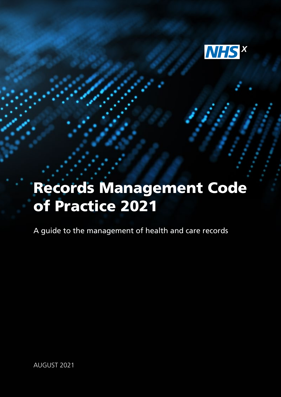

# Records Management Code of Practice 2021

A guide to the management of health and care records

AUGUST 2021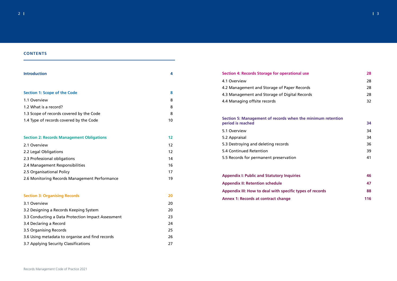

| the minimum retention |  |
|-----------------------|--|
|                       |  |
|                       |  |

| 54  |
|-----|
| 34  |
| 34  |
| 36  |
| 39  |
| 41  |
|     |
| - - |
|     |

# **CONTENTS**

| <b>Introduction</b>                                | 4  |
|----------------------------------------------------|----|
| <b>Section 1: Scope of the Code</b>                | 8  |
| 1.1 Overview                                       | 8  |
| 1.2 What is a record?                              | 8  |
| 1.3 Scope of records covered by the Code           | 8  |
| 1.4 Type of records covered by the Code            | 10 |
| <b>Section 2: Records Management Obligations</b>   | 12 |
| 2.1 Overview                                       | 12 |
| 2.2 Legal Obligations                              | 12 |
| 2.3 Professional obligations                       | 14 |
| 2.4 Management Responsibilities                    | 16 |
| 2.5 Organisational Policy                          | 17 |
| 2.6 Monitoring Records Management Performance      | 19 |
| <b>Section 3: Organising Records</b>               | 20 |
| 3.1 Overview                                       | 20 |
| 3.2 Designing a Records Keeping System             | 20 |
| 3.3 Conducting a Data Protection Impact Assessment | 23 |
| 3.4 Declaring a Record                             | 24 |
| 3.5 Organising Records                             | 25 |
| 3.6 Using metadata to organise and find records    | 26 |
| 3.7 Applying Security Classifications              | 27 |

| Section 4: Records Storage for operational use                                   | 28 |
|----------------------------------------------------------------------------------|----|
| 4.1 Overview                                                                     | 28 |
| 4.2 Management and Storage of Paper Records                                      | 28 |
| 4.3 Management and Storage of Digital Records                                    | 28 |
| 4.4 Managing offsite records                                                     | 32 |
| Section 5: Management of records when the minimum retention<br>period is reached | 34 |
| 5.1 Overview                                                                     | 34 |
| 5.2 Appraisal                                                                    | 34 |
| 5.3 Destroying and deleting records                                              | 36 |
| 5.4 Continued Retention                                                          | 39 |
| 5.5 Records for permanent preservation                                           | 41 |
| <b>Appendix I: Public and Statutory Inquiries</b>                                | 46 |
| <b>Appendix II: Retention schedule</b>                                           | 47 |
| Appendix III: How to deal with specific types of records                         | 88 |

| $\sim$ 10 m and 10 m and 10 m and 10 m and 10 m and 10 m and 10 m and 10 m and 10 m and 10 m and 10 m and 10 m and 10 m and 10 m and 10 m and 10 m and 10 m and 10 m and 10 m and 10 m and 10 m and 10 m and 10 m and 10 m and |     |
|--------------------------------------------------------------------------------------------------------------------------------------------------------------------------------------------------------------------------------|-----|
| <b>Appendix II: Retention schedule</b>                                                                                                                                                                                         | 47  |
| Appendix III: How to deal with specific types of records                                                                                                                                                                       | 88  |
| <b>Annex 1: Records at contract change</b>                                                                                                                                                                                     | 116 |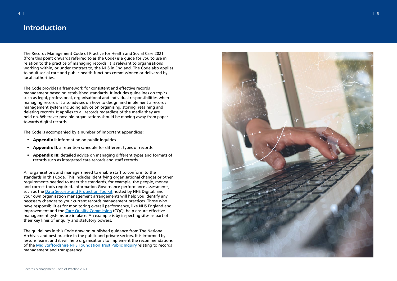# <span id="page-2-0"></span>**Introduction**

The Records Management Code of Practice for Health and Social Care 2021 (from this point onwards referred to as the Code) is a guide for you to use in relation to the practice of managing records. It is relevant to organisations working within, or under contract to, the NHS in England. The Code also applies to adult social care and public health functions commissioned or delivered by local authorities.

- 
- **Appendix I:** information on public inquiries<br>• **Appendix II:** a retention schedule for different types of records
- Appendix III: detailed advice on managing different types and formats of records such as integrated care records and staff records.

The Code provides a framework for consistent and effective records management based on established standards. It includes guidelines on topics such as legal, professional, organisational and individual responsibilities when managing records. It also advises on how to design and implement a records management system including advice on organising, storing, retaining and deleting records. It applies to all records regardless of the media they are held on. Wherever possible organisations should be moving away from paper towards digital records.

The Code is accompanied by a number of important appendices:

All organisations and managers need to enable staff to conform to the standards in this Code. This includes identifying organisational changes or other requirements needed to meet the standards, for example, the people, money and correct tools required. Information Governance performance assessments, such as the Data Security and Protection Toolkit hosted by NHS Digital, and your own organisation management arrangements will help you identify any necessary changes to your current records management practices. Those who have responsibilities for monitoring overall performance, like NHS England and Improvement and the Care Quality Commission (CQC), help ensure effective management systems are in place. An example is by inspecting sites as part of their key lines of enquiry and statutory powers.

The guidelines in this Code draw on published guidance from The National Archives and best practice in the public and private sectors. It is informed by lessons learnt and it will help organisations to implement the recommendations of the Mid Staffordshire NHS Foundation Trust Public Inquiry relating to records management and transparency.

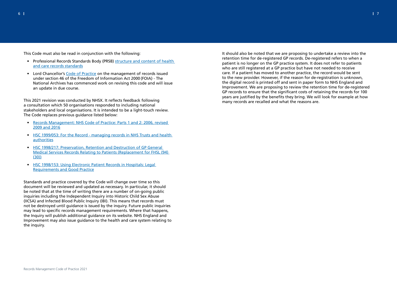This Code must also be read in conjunction with the following:

- Professional Records Standards Body (PRSB) structure and content of health and care records standards
- Lord Chancellor's Code of Practice on the management of records issued under section 46 of the Freedom of Information Act 2000 (FOIA) - The National Archives has commenced work on revising this code and will issue an update in due course.

This 2021 revision was conducted by NHSX. It reflects feedback following a consultation which 50 organisations responded to including national stakeholders and local organisations. It is intended to be a light-touch review. The Code replaces previous guidance listed below:

- Records Management: NHS Code of Practice: Parts 1 and 2: 2006, revised 2009 and 2016
- HSC 1999/053: For the Record managing records in NHS Trusts and health authorities
- HSC 1998/217: Preservation, Retention and Destruction of GP General Medical Services Records Relating to Patients (Replacement for FHSL (94) (30))
- HSC 1998/153: Using Electronic Patient Records in Hospitals: Legal Requirements and Good Practice

Standards and practice covered by the Code will change over time so this document will be reviewed and updated as necessary. In particular, it should be noted that at the time of writing there are a number of on-going public inquiries including the Independent Inquiry into Historic Child Sex Abuse (IICSA) and Infected Blood Public Inquiry (IBI). This means that records must not be destroyed until guidance is issued by the inquiry. Future public inquiries may lead to specific records management requirements. Where that happens, the Inquiry will publish additional guidance on its website. NHS England and Improvement may also issue guidance to the health and care system relating to the inquiry.

It should also be noted that we are proposing to undertake a review into the retention time for de-registered GP records. De-registered refers to when a patient is no longer on the GP practice system. It does not refer to patients who are still registered at a GP practice but have not needed to receive care. If a patient has moved to another practice, the record would be sent to the new provider. However, if the reason for de-registration is unknown, the digital record is printed off and sent in paper form to NHS England and Improvement. We are proposing to review the retention time for de-registered GP records to ensure that the significant costs of retaining the records for 100 years are justified by the benefits they bring. We will look for example at how many records are recalled and what the reasons are.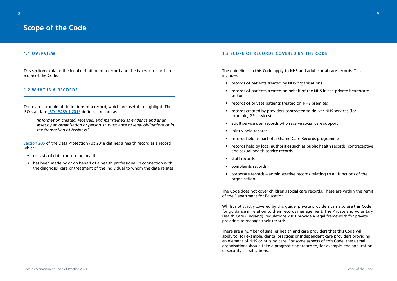# <span id="page-4-1"></span>**1.1 OVERVIEW**

This section explains the legal definition of a record and the types of records in scope of the Code.

# <span id="page-4-2"></span>**1.2 WHAT IS A RECORD?**

There are a couple of definitions of a record, which are useful to highlight. The ISO standard ISO 15489-1:2016 defines a record as:

*'Information created, received, and maintained as evidence and as an asset by an organisation or person, in pursuance of legal obligations or in the transaction of business.'*

Section 205 of the Data Protection Act 2018 defines a health record as a record which:

- consists of data concerning health
- has been made by or on behalf of a health professional in connection with the diagnosis, care or treatment of the individual to whom the data relates.

# <span id="page-4-3"></span>**1.3 SCOPE OF RECORDS COVERED BY THE CODE**

The guidelines in this Code apply to NHS and adult social care records. This includes:

• records of patients treated on behalf of the NHS in the private healthcare

- records of patients treated by NHS organisations
- sector
- records of private patients treated on NHS premises
- records created by providers contracted to deliver NHS services (for example, GP services)
- adult service user records who receive social care support
- jointly held records
- records held as part of a Shared Care Records programme
- and sexual health service records
- staff records
- complaints records
- corporate records administrative records relating to all functions of the organisation

• records held by local authorities such as public health records, contraceptive

The Code does not cover children's social care records. These are within the remit of the Department for Education.

Whilst not strictly covered by this guide, private providers can also use this Code for guidance in relation to their records management. The Private and Voluntary Health Care (England) Regulations 2001 provide a legal framework for private providers to manage their records.

There are a number of smaller health and care providers that this Code will apply to, for example, dental practices or independent care providers providing an element of NHS or nursing care. For some aspects of this Code, these small organisations should take a pragmatic approach to, for example, the application of security classifications.

# <span id="page-4-0"></span>**Scope of the Code**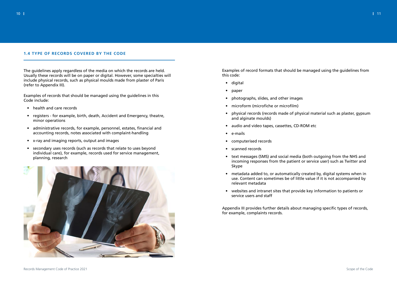# <span id="page-5-0"></span>**1.4 TYPE OF RECORDS COVERED BY THE CODE**

The guidelines apply regardless of the media on which the records are held. Usually these records will be on paper or digital. However, some specialties will include physical records, such as physical moulds made from plaster of Paris (refer to Appendix III).

Examples of records that should be managed using the guidelines in this Code include:

- health and care records
- registers for example, birth, death, Accident and Emergency, theatre, minor operations
- administrative records, for example, personnel, estates, financial and accounting records, notes associated with complaint-handling
- x-ray and imaging reports, output and images
- secondary uses records (such as records that relate to uses beyond individual care), for example, records used for service management, planning, research



Examples of record formats that should be managed using the guidelines from this code:

- digital
- paper
- photographs, slides, and other images
- microform (microfiche or microfilm)
- physical records (records made of physical material such as plaster, gypsum and alginate moulds)
- audio and video tapes, cassettes, CD-ROM etc
- e-mails
- computerised records
- scanned records
- text messages (SMS) and social media (both outgoing from the NHS and incoming responses from the patient or service user) such as Twitter and Skype
- metadata added to, or automatically created by, digital systems when in use. Content can sometimes be of little value if it is not accompanied by relevant metadata
- websites and intranet sites that provide key information to patients or service users and staff

Appendix III provides further details about managing specific types of records, for example, complaints records.

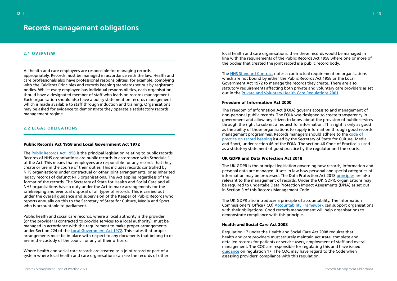# <span id="page-6-1"></span>**2.1 OVERVIEW**

All health and care employees are responsible for managing records appropriately. Records must be managed in accordance with the law. Health and care professionals also have professional responsibilities, for example, complying with the Caldicott Principles and records keeping standards set out by registrant bodies. Whilst every employee has individual responsibilities, each organisation should have a designated member of staff who leads on records management. Each organisation should also have a policy statement on records management which is made available to staff through induction and training. Organisations may be asked for evidence to demonstrate they operate a satisfactory records management regime.

#### <span id="page-6-2"></span>**2.2 LEGAL OBLIGATIONS**

#### Public Records Act 1958 and Local Government Act 1972

The Public Records Act 1958 is the principal legislation relating to public records. Records of NHS organisations are public records in accordance with Schedule 1 of the Act. This means that employees are responsible for any records that they create or use in the course of their duties. This includes records controlled by NHS organisations under contractual or other joint arrangements, or as inherited legacy records of defunct NHS organisations. The Act applies regardless of the format of the records. The Secretary of State for Health and Social Care and all NHS organisations have a duty under the Act to make arrangements for the safekeeping and eventual disposal of all types of records. This is carried out under the overall guidance and supervision of the Keeper of Public Records who reports annually on this to the Secretary of State for Culture, Media and Sport who is accountable to parliament.

Public health and social care records, where a local authority is the provider (or the provider is contracted to provide services to a local authority), must be managed in accordance with the requirement to make proper arrangements under Section 224 of the Local Government Act 1972. This states that proper arrangements must be in place with respect to any documents that belong to or are in the custody of the council or any of their officers.

Where health and social care records are created as a joint record or part of a system where local health and care organisations can see the records of other

local health and care organisations, then these records would be managed in line with the requirements of the Public Records Act 1958 where one or more of the bodies that created the joint record is a public record body.

The NHS Standard Contract notes a contractual requirement on organisations which are not bound by either the Public Records Act 1958 or the Local Government Act 1972 to manage the records they create. There are also statutory requirements affecting both private and voluntary care providers as set out in the Private and Voluntary Health Care Regulations 2001.

#### Freedom of Information Act 2000

The Freedom of Information Act (FOIA) governs access to and management of non-personal public records. The FOIA was designed to create transparency in government and allow any citizen to know about the provision of public services through the right to submit a request for information. This right is only as good as the ability of those organisations to supply information through good records management programmes. Records managers should adhere to the code of practice on record keeping issued by the Secretary of State for Culture, Media and Sport, under section 46 of the FOIA. The section 46 Code of Practice is used as a statutory statement of good practice by the regulator and the courts.

# UK GDPR and Data Protection Act 2018

The UK GDPR is the principal legislation governing how records, information and personal data are managed. It sets in law how personal and special categories of information may be processed. The Data Protection Act 2018 principles are also relevant to the management of records. Under the UK GDPR, organisations may be required to undertake Data Protection Impact Assessments (DPIA) as set out in Section 3 of this Records Management Code.

The UK GDPR also introduces a principle of accountability. The Information Commissioner's Office (ICO) Accountability Framework can support organisations with their obligations. Good records management will help organisations to demonstrate compliance with this principle.

# Health and Social Care Act 2008

Regulation 17 under the Health and Social Care Act 2008 requires that health and care providers must securely maintain accurate, complete and detailed records for patients or service users, employment of staff and overall management. The CQC are responsible for regulating this and have issued guidance on regulation 17. The CQC may have regard to the Code when assessing providers' compliance with this regulation.

# <span id="page-6-0"></span>**Records management obligations**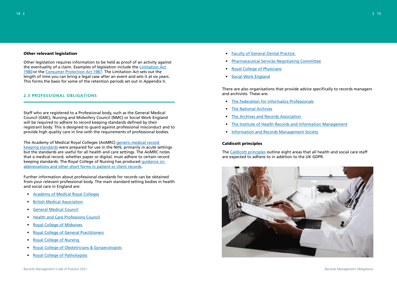

# Other relevant legislation

Other legislation requires information to be held as proof of an activity against the eventuality of a claim. Examples of legislation include the Limitation Act 1980 or the Consumer Protection Act 1987. The Limitation Act sets out the length of time you can bring a legal case after an event and sets it at six years. This forms the basis for some of the retention periods set out in Appendix II.

#### <span id="page-7-0"></span>**2.3 PROFESSIONAL OBLIGATIONS**

Staff who are registered to a Professional body, such as the General Medical Council (GMC), Nursing and Midwifery Council (NMC) or Social Work England will be required to adhere to record keeping standards defined by their registrant body. This is designed to guard against professional misconduct and to provide high quality care in line with the requirements of professional bodies.

The Academy of Medical Royal Colleges (AoMRC) generic medical record keeping standards were prepared for use in the NHS, primarily in acute settings but the standards are useful for all health and care settings. The AoMRC notes that a medical record, whether paper or digital, must adhere to certain record keeping standards. The Royal College of Nursing has produced guidance on abbreviations and other short forms in patient or client records.

Further information about professional standards for records can be obtained from your relevant professional body. The main standard setting bodies in health and social care in England are:

- Academy of Medical Royal Colleges
- British Medical Association
- General Medical Council
- Health and Care Professions Council
- Royal College of Midwives
- Royal College of General Practitioners
- Royal College of Nursing
- Royal College of Obstetricians & Gynaecologists
- Royal College of Pathologists
- Faculty of General Dental Practice
- Pharmaceutical Services Negotiating Committee
- Royal College of Physicians
- Social Work England

There are also organisations that provide advice specifically to records managers and archivists. These are:

- The Federation for Informatics Professionals
- The National Archives
- The Archives and Records Association
- The Institute of Health Records and Information Management
- Information and Records Management Society

#### Caldicott principles

The Caldicott principles outline eight areas that all health and social care staff are expected to adhere to in addition to the UK GDPR.

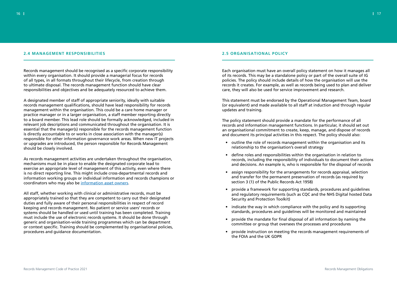### <span id="page-8-0"></span>**2.4 MANAGEMENT RESPONSIBILITIES**

Records management should be recognised as a specific corporate responsibility within every organisation. It should provide a managerial focus for records of all types, in all formats throughout their lifecycle, from creation through to ultimate disposal. The records management function should have clear responsibilities and objectives and be adequately resourced to achieve them.

A designated member of staff of appropriate seniority, ideally with suitable records management qualifications, should have lead responsibility for records management within the organisation. This could be a care home manager or practice manager or in a larger organisation, a staff member reporting directly to a board member. This lead role should be formally acknowledged, included in relevant job descriptions and communicated throughout the organisation. It is essential that the manager(s) responsible for the records management function is directly accountable to or works in close association with the manager(s) responsible for other information governance work areas. When new IT projects or upgrades are introduced, the person responsible for Records Management should be closely involved.

As records management activities are undertaken throughout the organisation, mechanisms must be in place to enable the designated corporate lead to exercise an appropriate level of management of this activity, even where there is no direct reporting line. This might include cross-departmental records and information working groups or individual information and records champions or coordinators who may also be information asset owners.

All staff, whether working with clinical or administrative records, must be appropriately trained so that they are competent to carry out their designated duties and fully aware of their personal responsibilities in respect of record keeping and records management. No patient or service users' records or systems should be handled or used until training has been completed. Training must include the use of electronic records systems. It should be done through generic and organisation-wide training programmes which can be department or context specific. Training should be complemented by organisational policies, procedures and guidance documentation.

# <span id="page-8-1"></span>**2.5 ORGANISATIONAL POLICY**

Each organisation must have an overall policy statement on how it manages all of its records. This may be a standalone policy or part of the overall suite of IG policies. The policy should include details of how the organisation will use the records it creates. For example, as well as records being used to plan and deliver care, they will also be used for service improvement and research.

This statement must be endorsed by the Operational Management Team, board (or equivalent) and made available to all staff at induction and through regular updates and training.

The policy statement should provide a mandate for the performance of all records and information management functions. In particular, it should set out an organisational commitment to create, keep, manage, and dispose of records and document its principal activities in this respect. The policy should also:

records, including the responsibility of individuals to document their actions and decisions. An example is, who is responsible for the disposal of records

- outline the role of records management within the organisation and its relationship to the organisation's overall strategy
- define roles and responsibilities within the organisation in relation to
- assign responsibility for the arrangements for records appraisal, selection and transfer for the permanent preservation of records (as required by section 3 (1) of the Public Records Act 1958)
- provide a framework for supporting standards, procedures and guidelines Security and Protection Toolkit)
- indicate the way in which compliance with the policy and its supporting standards, procedures and guidelines will be monitored and maintained
- provide the mandate for final disposal of all information by naming the committee or group that oversees the processes and procedures
- provide instruction on meeting the records management requirements of the FOIA and the UK GDPR

and regulatory requirements (such as CQC and the NHS Digital hosted Data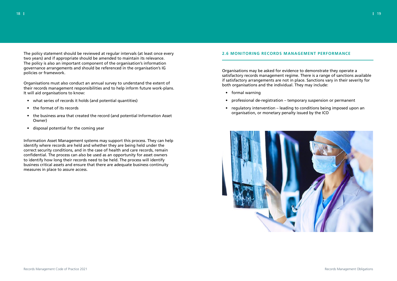The policy statement should be reviewed at regular intervals (at least once every two years) and if appropriate should be amended to maintain its relevance. The policy is also an important component of the organisation's information governance arrangements and should be referenced in the organisation's IG policies or framework.

Organisations must also conduct an annual survey to understand the extent of their records management responsibilities and to help inform future work-plans. It will aid organisations to know:

- what series of records it holds (and potential quantities)
- the format of its records
- the business area that created the record (and potential Information Asset Owner)
- disposal potential for the coming year

Information Asset Management systems may support this process. They can help identify where records are held and whether they are being held under the correct security conditions, and in the case of health and care records, remain confidential. The process can also be used as an opportunity for asset owners to identify how long their records need to be held. The process will identify business critical assets and ensure that there are adequate business continuity measures in place to assure access.

# <span id="page-9-0"></span>**2.6 MONITORING RECORDS MANAGEMENT PERFORMANCE**

Organisations may be asked for evidence to demonstrate they operate a satisfactory records management regime. There is a range of sanctions available if satisfactory arrangements are not in place. Sanctions vary in their severity for both organisations and the individual. They may include:

- formal warning
- professional de-registration temporary suspension or permanent
- regulatory intervention leading to conditions being imposed upon an organisation, or monetary penalty issued by the ICO

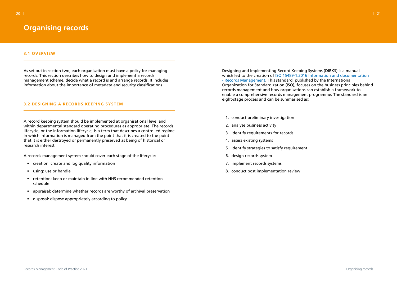

# <span id="page-10-1"></span>**3.1 OVERVIEW**

As set out in section two, each organisation must have a policy for managing records. This section describes how to design and implement a records management scheme, decide what a record is and arrange records. It includes information about the importance of metadata and security classifications.

# <span id="page-10-2"></span>**3.2 DESIGNING A RECORDS KEEPING SYSTEM**

A record keeping system should be implemented at organisational level and within departmental standard operating procedures as appropriate. The records lifecycle, or the information lifecycle, is a term that describes a controlled regime in which information is managed from the point that it is created to the point that it is either destroyed or permanently preserved as being of historical or research interest.

A records management system should cover each stage of the lifecycle:

- creation: create and log quality information
- using: use or handle
- retention: keep or maintain in line with NHS recommended retention schedule
- appraisal: determine whether records are worthy of archival preservation
- disposal: dispose appropriately according to policy

Designing and Implementing Record Keeping Systems (DIRKS) is a manual which led to the creation of ISO 15489-1:2016 Information and documentation - Records Management. This standard, published by the International Organization for Standardization (ISO), focuses on the business principles behind records management and how organisations can establish a framework to enable a comprehensive records management programme. The standard is an eight-stage process and can be summarised as:

- 1. conduct preliminary investigation
- 2. analyse business activity
- 3. identify requirements for records
- 4. assess existing systems
- 5. identify strategies to satisfy requirement
- 6. design records system
- 7. implement records systems
- 8. conduct post implementation review

# <span id="page-10-0"></span>**Organising records**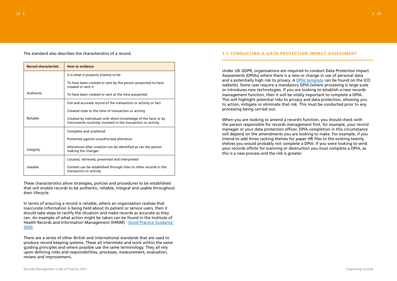

The standard also describes the characteristics of a record.

| <b>Record characteristic</b> | <b>How to evidence</b>                                                                                                           |
|------------------------------|----------------------------------------------------------------------------------------------------------------------------------|
|                              | It is what it purports (claims) to be                                                                                            |
|                              | To have been created or sent by the person purported to have<br>created or sent it                                               |
| Authentic                    | To have been created or sent at the time purported                                                                               |
|                              | Full and accurate record of the transaction or activity or fact                                                                  |
|                              | Created close to the time of transaction or activity                                                                             |
| Reliable                     | Created by individuals with direct knowledge of the facts or by<br>instruments routinely involved in the transaction or activity |
|                              | Complete and unaltered                                                                                                           |
|                              | Protected against unauthorised alteration                                                                                        |
| Integrity                    | Alterations after creation can be identified as can the person<br>making the changes                                             |
|                              | Located, retrieved, presented and interpreted                                                                                    |
| Useable                      | Context can be established through links to other records in the<br>transaction or activity                                      |

These characteristics allow strategies, policies and procedures to be established that will enable records to be authentic, reliable, integral and usable throughout their lifecycle.

In terms of ensuring a record is reliable, where an organisation realises that inaccurate information is being held about its patient or service users, then it should take steps to rectify the situation and make records as accurate as they can. An example of what action might be taken can be found in the Institute of Health Records and Information Management (IHRIM) - Good Practice Guidance 2020.

There are a series of other British and international standards that are used to produce record keeping systems. These all interrelate and work within the same guiding principles and where possible use the same terminology. They all rely upon defining roles and responsibilities, processes, measurement, evaluation, review and improvement.

# <span id="page-11-0"></span>**3.3 CONDUCTING A DATA PROTECTION IMPACT ASSESSMENT**

Under UK GDPR, organisations are required to conduct Data Protection Impact Assessments (DPIAs) where there is a new or change in use of personal data and a potentially high risk to privacy. A DPIA template can be found on the ICO website). Some uses require a mandatory DPIA (where processing is large scale or introduces new technologies. If you are looking to establish a new records management function, then it will be vitally important to complete a DPIA. This will highlight potential risks to privacy and data protection, allowing you to action, mitigate or eliminate that risk. This must be conducted prior to any processing being carried out.

When you are looking to amend a record's function, you should check with the person responsible for records management first, for example, your record manager or your data protection officer. DPIA completion in this circumstance will depend on the amendments you are looking to make. For example, if you intend to add three racking shelves for paper HR files to the existing twenty shelves you would probably not complete a DPIA. If you were looking to send your records offsite for scanning or destruction you must complete a DPIA, as this is a new process and the risk is greater.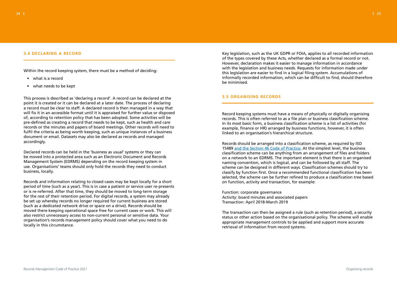## <span id="page-12-0"></span>**3.4 DECLARING A RECORD**

Within the record keeping system, there must be a method of deciding:

- what is a record
- what needs to be kept

This process is described as 'declaring a record'. A record can be declared at the point it is created or it can be declared at a later date. The process of declaring a record must be clear to staff. A declared record is then managed in a way that will fix it in an accessible format until it is appraised for further value or disposed of, according to retention policy that has been adopted. Some activities will be pre-defined as creating a record that needs to be kept, such as health and care records or the minutes and papers of board meetings. Other records will need to fulfil the criteria as being worth keeping, such as unique instances of a business document or email. Datasets may also be declared as records and managed accordingly.

Declared records can be held in the 'business as usual' systems or they can be moved into a protected area such as an Electronic Document and Records Management System (EDRMS) depending on the record keeping system in use. Organisations' teams should only hold the records they need to conduct business, locally.

Records and information relating to closed cases may be kept locally for a short period of time (such as a year). This is in case a patient or service user re-presents or is re-referred. After that time, they should be moved to long-term storage for the rest of their retention period. For digital records, a system may already be set up whereby records no longer required for current business are stored (such as a dedicated network drive or space on a drive). Records should be moved there keeping operational space free for current cases or work. This will also restrict unnecessary access to non-current personal or sensitive data. Your organisation's records management policy should cover what you need to do locally in this circumstance.

Key legislation, such as the UK GDPR or FOIA, applies to all recorded information of the types covered by these Acts, whether declared as a formal record or not. However, declaration makes it easier to manage information in accordance with the legislation and business needs. Requests for information made under this legislation are easier to find in a logical filing system. Accumulations of informally recorded information, which can be difficult to find, should therefore be minimised.

# <span id="page-12-1"></span>**3.5 ORGANISING RECORDS**

Record keeping systems must have a means of physically or digitally organising records. This is often referred to as a file plan or business classification scheme. In its most basic form, a business classification scheme is a list of activities (for example, finance or HR) arranged by business functions, however, it is often linked to an organisation's hierarchical structure.

Records should be arranged into a classification scheme, as required by ISO 15489 and the Section 46 Code of Practice. At the simplest level, the business classification scheme can be anything from an arrangement of files and folders on a network to an EDRMS. The important element is that there is an organised naming convention, which is logical, and can be followed by all staff. The scheme can be designed in different ways. Classification schemes should try to classify by function first. Once a recommended functional classification has been selected, the scheme can be further refined to produce a classification tree based on function, activity and transaction, for example:

Function: corporate governance Activity: board minutes and associated papers Transaction: April 2018-March 2019

The transaction can then be assigned a rule (such as retention period), a security status or other action based on the organisational policy. The scheme will enable appropriate management controls to be applied and support more accurate retrieval of information from record systems.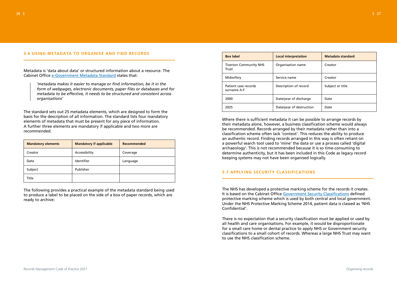

# <span id="page-13-0"></span>**3.6 USING METADATA TO ORGANISE AND FIND RECORDS**

Metadata is 'data about data' or structured information about a resource. The Cabinet Office e-Government Metadata Standard states that:

*'metadata makes it easier to manage or find information, be it in the form of webpages, electronic documents, paper files or databases and for metadata to be effective, it needs to be structured and consistent across organisations'*

The standard sets out 25 metadata elements, which are designed to form the basis for the description of all information. The standard lists four mandatory elements of metadata that must be present for any piece of information. A further three elements are mandatory if applicable and two more are recommended.

| <b>Mandatory elements</b> | <b>Mandatory if applicable</b> | <b>Recommended</b> |
|---------------------------|--------------------------------|--------------------|
| Creator                   | Accessibility                  | Coverage           |
| Date                      | Identifier                     | Language           |
| Subject                   | Publisher                      |                    |
| Title                     |                                |                    |

The following provides a practical example of the metadata standard being used to produce a label to be placed on the side of a box of paper records, which are ready to archive:

| <b>Box label</b>                       | <b>Local interpretation</b> | Metadata standard |
|----------------------------------------|-----------------------------|-------------------|
| <b>Tiverton Community NHS</b><br>Trust | Organisation name           | Creator           |
| Midwifery                              | Service name                | Creator           |
| Patient case records<br>surname A-F    | Description of record       | Subject or title  |
| 2000                                   | Date/year of discharge      | Date              |
| 2025                                   | Date/year of destruction    | Date              |

Where there is sufficient metadata it can be possible to arrange records by their metadata alone, however, a business classification scheme would always be recommended. Records arranged by their metadata rather than into a classification scheme often lack 'context'. This reduces the ability to produce an authentic record. Finding records arranged in this way is often reliant on a powerful search tool used to 'mine' the data or use a process called 'digital archaeology'. This is not recommended because it is so time-consuming to determine authenticity, but it has been included in this Code as legacy record keeping systems may not have been organised logically.

# <span id="page-13-1"></span>**3.7 APPLYING SECURITY CLASSIFICATIONS**

The NHS has developed a protective marking scheme for the records it creates. It is based on the Cabinet Office Government Security Classifications defined protective marking scheme which is used by both central and local government. Under the NHS Protective Marking Scheme 2014, patient data is classed as 'NHS Confidential'.

There is no expectation that a security classification must be applied or used by all health and care organisations. For example, it would be disproportionate for a small care home or dental practice to apply NHS or Government security classifications to a small cohort of records. Whereas a large NHS Trust may want to use the NHS classification scheme.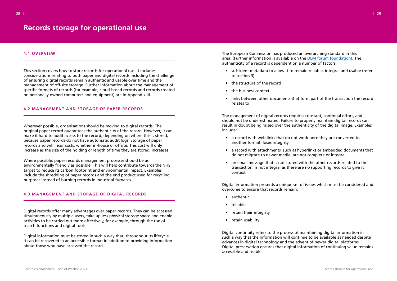

## <span id="page-14-1"></span>**4.1 OVERVIEW**

This section covers how to store records for operational use. It includes considerations relating to both paper and digital records including the challenge of ensuring digital records remain authentic and usable over time and the management of off-site storage. Further information about the management of specific formats of records (for example, cloud-based records and records created on personally owned computers and equipment) are in Appendix III.

#### <span id="page-14-2"></span>**4.2 MANAGEMENT AND STORAGE OF PAPER RECORDS**

Wherever possible, organisations should be moving to digital records. The original paper record guarantees the authenticity of the record. However, it can make it hard to audit access to the record, depending on where this is stored, because paper records do not have automatic audit logs. Storage of paper records also will incur costs, whether in-house or offsite. This cost will only increase as the size of the holding or length of time they are stored, increases.

Where possible, paper records management processes should be as environmentally friendly as possible. This will help contribute towards the NHS target to reduce its carbon footprint and environmental impact. Examples include the shredding of paper records and the end product used for recycling purposes instead of burning records in industrial furnaces.

# <span id="page-14-3"></span>**4.3 MANAGEMENT AND STORAGE OF DIGITAL RECORDS**

Digital records offer many advantages over paper records. They can be accessed simultaneously by multiple users, take up less physical storage space and enable activities to be carried out more effectively, for example, through the use of search functions and digital tools.

Digital information must be stored in such a way that, throughout its lifecycle, it can be recovered in an accessible format in addition to providing information about those who have accessed the record.

The European Commission has produced an overarching standard in this area. (Further information is available on the DLM forum foundation). The authenticity of a record is dependent on a number of factors:

• sufficient metadata to allow it to remain reliable, integral and usable (refer

- to section 3)
- the structure of the record
- the business context
- relates to

• links between other documents that form part of the transaction the record

The management of digital records requires constant, continual effort, and should not be underestimated. Failure to properly maintain digital records can result in doubt being raised over the authenticity of the digital image. Examples include:

• a record with attachments, such as hyperlinks or embedded documents that

- a record with web links that do not work once they are converted to another format, loses integrity
- do not migrate to newer media, are not complete or integral
- transaction, is not integral as there are no supporting records to give it context

• an email message that is not stored with the other records related to the

Digital information presents a unique set of issues which must be considered and overcome to ensure that records remain:

- authentic
- reliable
- retain their integrity
- retain usability

Digital continuity refers to the process of maintaining digital information in such a way that the information will continue to be available as needed despite advances in digital technology and the advent of newer digital platforms. Digital preservation ensures that digital information of continuing value remains accessible and usable.

# <span id="page-14-0"></span>**Records storage for operational use**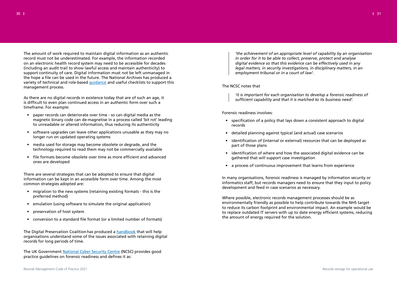

The amount of work required to maintain digital information as an authentic record must not be underestimated. For example, the information recorded on an electronic health record system may need to be accessible for decades (including an audit trail to show lawful access and maintain authenticity) to support continuity of care. Digital information must not be left unmanaged in the hope a file can be used in the future. The National Archives has produced a variety of technical and role-based guidance and useful checklists to support this management process.

As there are no digital records in existence today that are of such an age, it is difficult to even plan continued access in an authentic form over such a timeframe. For example:

- paper records can deteriorate over time so can digital media as the magnetic binary code can de-magnetise in a process called 'bit rot' leading to unreadable or altered information, thus reducing its authenticity
- software upgrades can leave other applications unusable as they may no longer run on updated operating systems
- media used for storage may become obsolete or degrade, and the technology required to read them may not be commercially available
- file formats become obsolete over time as more efficient and advanced ones are developed

There are several strategies that can be adopted to ensure that digital information can be kept in an accessible form over time. Among the most common strategies adopted are:

- migration to the new systems (retaining existing formats this is the preferred method)
- emulation (using software to simulate the original application)
- preservation of host system
- conversion to a standard file format (or a limited number of formats)

The Digital Preservation Coalition has produced a handbook that will help organisations understand some of the issues associated with retaining digital records for long periods of time.

The UK Government National Cyber Security Centre (NCSC) provides good practice guidelines on forensic readiness and defines it as:

*'the achievement of an appropriate level of capability by an organisation in order for it to be able to collect, preserve, protect and analyse digital evidence so that this evidence can be effectively used in any legal matters, in security investigations, in disciplinary matters, in an employment tribunal or in a court of law'.*

# The NCSC notes that

*'it is important for each organisation to develop a forensic readiness of sufficient capability and that it is matched to its business need'.* 

Forensic readiness involves:

- specification of a policy that lays down a consistent approach to digital records
- detailed planning against typical (and actual) case scenarios
- identification of (internal or external) resources that can be deployed as part of those plans
- identification of where and how the associated digital evidence can be gathered that will support case investigation
- a process of continuous improvement that learns from experience

In many organisations, forensic readiness is managed by information security or informatics staff, but records managers need to ensure that they input to policy development and feed in case scenarios as necessary.

Where possible, electronic records management processes should be as environmentally friendly as possible to help contribute towards the NHS target to reduce its carbon footprint and environmental impact. An example would be to replace outdated IT servers with up to date energy efficient systems, reducing the amount of energy required for the solution.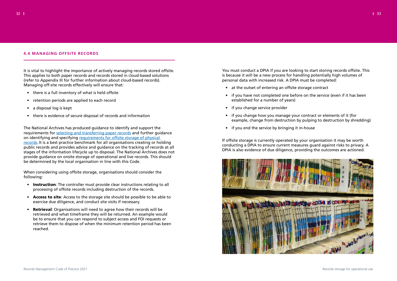

# <span id="page-16-0"></span>**4.4 MANAGING OFFSITE RECORDS**

It is vital to highlight the importance of actively managing records stored offsite. This applies to both paper records and records stored in cloud-based solutions (refer to Appendix III for further information about cloud-based records). Managing off-site records effectively will ensure that:

- there is a full inventory of what is held offsite
- retention periods are applied to each record
- a disposal log is kept
- there is evidence of secure disposal of records and information

The National Archives has produced guidance to identify and support the requirements for selecting and transferring paper records and further quidance on identifying and specifying requirements for offsite storage of physical records. It is a best practice benchmark for all organisations creating or holding public records and provides advice and guidance on the tracking of records at all stages of the information lifecycle up to disposal. The National Archives does not provide guidance on onsite storage of operational and live records. This should be determined by the local organisation in line with this Code.

- Instruction: The controller must provide clear instructions relating to all processing of offsite records including destruction of the records.
- Access to site: Access to the storage site should be possible to be able to exercise due diligence, and conduct site visits if necessary.
- Retrieval: Organisations will need to agree how their records will be retrieved and what timeframe they will be returned. An example would be to ensure that you can respond to subject access and FOI requests or retrieve them to dispose of when the minimum retention period has been reached.

When considering using offsite storage, organisations should consider the following:

You must conduct a DPIA if you are looking to start storing records offsite. This is because it will be a new process for handling potentially high volumes of personal data with increased risk. A DPIA must be completed:

- at the outset of entering an offsite storage contract
- if you have not completed one before on the service (even if it has been established for a number of years)
- if you change service provider
- if you change how you manage your contract or elements of it (for
- if you end the service by bringing it in-house

example, change from destruction by pulping to destruction by shredding)

If offsite storage is currently operated by your organisation it may be worth conducting a DPIA to ensure current measures guard against risks to privacy. A DPIA is also evidence of due diligence, providing the outcomes are actioned.

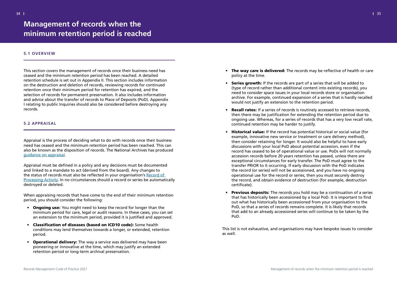## <span id="page-17-1"></span>**5.1 OVERVIEW**

This section covers the management of records once their business need has ceased and the minimum retention period has been reached. A detailed retention schedule is set out in Appendix II. This section includes information on the destruction and deletion of records, reviewing records for continued retention once their minimum period for retention has expired, and the selection of records for permanent preservation. It also includes information and advice about the transfer of records to Place of Deposits (PoD). Appendix I relating to public Inquiries should also be considered before destroying any records.

# <span id="page-17-2"></span>**5.2 APPRAISAL**

Appraisal is the process of deciding what to do with records once their business need has ceased and the minimum retention period has been reached. This can also be known as the disposition of records. The National Archives has produced guidance on appraisal.

- Ongoing use: You might need to keep the record for longer than the minimum period for care, legal or audit reasons. In these cases, you can set an extension to the minimum period, provided it is justified and approved.
- Classification of diseases (based on ICD10 code): Some health conditions may lend themselves towards a longer, or extended, retention period.
- Operational delivery: The way a service was delivered may have been pioneering or innovative at the time, which may justify an extended retention period or long-term archival preservation.

Appraisal must be defined in a policy and any decisions must be documented and linked to a mandate to act (derived from the board). Any changes to the status of records must also be reflected in your organisation's Record of Processing Activity. In no circumstances should a record or series be automatically destroyed or deleted.

When appraising records that have come to the end of their minimum retention period, you should consider the following:

- The way care is delivered: The records may be reflective of health or care policy at the time.
- Series growth: If the records are part of a series that will be added to (type of record rather than additional content into existing records), you need to consider space issues in your local records store or organisation would not justify an extension to the retention period.
- Recall rates: If a series of records is routinely accessed to retrieve records, continued retention may be harder to justify.
- **Historical value:** If the record has potential historical or social value (for example, innovative new service or treatment or care delivery method), then consider retaining for longer. It would also be helpful to have early discussions with your local PoD about potential accession, even if the accession records before 20 years retention has passed, unless there are exceptional circumstances for early transfer. The PoD must agree to the transfer PRIOR to it occurring. If early discussion with the PoD indicates the record (or series) will not be accessioned, and you have no ongoing operational use for the record or series, then you must securely destroy the record, and obtain evidence of destruction (for example, destruction certificate).
- Previous deposits: The records you hold may be a continuation of a series out what has historically been accessioned from your organisation to the PoD, so that a series of records remains complete. It is likely that records PoD.

archive. For example, continued expansion of a series that is hardly recalled

then there may be justification for extending the retention period due to ongoing use. Whereas, for a series of records that has a very low recall rate,

record has ceased to be of operational value or use. PoDs will not normally

that has historically been accessioned by a local PoD. It is important to find that add to an already accessioned series will continue to be taken by the

This list is not exhaustive, and organisations may have bespoke issues to consider as well.

# <span id="page-17-0"></span>**Management of records when the minimum retention period is reached**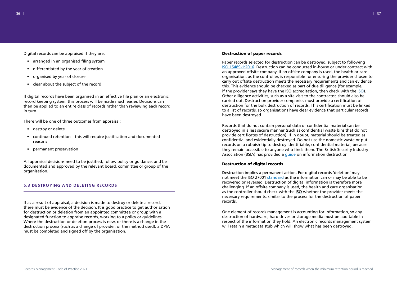Digital records can be appraised if they are:

- arranged in an organised filing system
- differentiated by the year of creation
- organised by year of closure
- clear about the subject of the record

If digital records have been organised in an effective file plan or an electronic record keeping system, this process will be made much easier. Decisions can then be applied to an entire class of records rather than reviewing each record in turn.

There will be one of three outcomes from appraisal:

- destroy or delete
- continued retention this will require justification and documented reasons
- permanent preservation

All appraisal decisions need to be justified, follow policy or guidance, and be documented and approved by the relevant board, committee or group of the organisation.

# <span id="page-18-0"></span>**5.3 DESTROYING AND DELETING RECORDS**

If as a result of appraisal, a decision is made to destroy or delete a record, there must be evidence of the decision. It is good practice to get authorisation for destruction or deletion from an appointed committee or group with a designated function to appraise records, working to a policy or guidelines. Where the destruction or deletion process is new, or there is a change in the destruction process (such as a change of provider, or the method used), a DPIA must be completed and signed off by the organisation.

### Destruction of paper records

Paper records selected for destruction can be destroyed, subject to following ISO 15489-1:2016. Destruction can be conducted in-house or under contract with an approved offsite company. If an offsite company is used, the health or care organisation, as the controller, is responsible for ensuring the provider chosen to carry out offsite destruction meets the necessary requirements and can evidence this. This evidence should be checked as part of due diligence (for example, if the provider says they have the ISO accreditation, then check with the ISO). Other diligence activities, such as a site visit to the contractor, should also be carried out. Destruction provider companies must provide a certification of destruction for the bulk destruction of records. This certification must be linked to a list of records, so organisations have clear evidence that particular records have been destroyed.

Records that do not contain personal data or confidential material can be destroyed in a less secure manner (such as confidential waste bins that do not provide certificates of destruction). If in doubt, material should be treated as confidential and evidentially destroyed. Do not use the domestic waste or put records on a rubbish tip to destroy identifiable, confidential material, because they remain accessible to anyone who finds them. The British Security Industry Association (BSIA) has provided a guide on information destruction.

# Destruction of digital records

Destruction implies a permanent action. For digital records 'deletion' may not meet the ISO 27001 standard as the information can or may be able to be recovered or reversed. Destruction of digital information is therefore more challenging. If an offsite company is used, the health and care organisation as the controller should check with the ISO whether the provider meets the necessary requirements, similar to the process for the destruction of paper records.

One element of records management is accounting for information, so any destruction of hardware, hard drives or storage media must be auditable in respect of the information they hold. An electronic records management system will retain a metadata stub which will show what has been destroyed.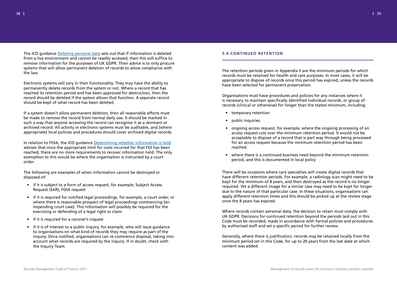The ICO guidance Deleting personal data sets out that if information is deleted from a live environment and cannot be readily accessed, then this will suffice to remove information for the purposes of UK GDPR. Their advice is to only procure systems that will allow permanent deletion of records to allow compliance with the law.

Electronic systems will vary in their functionality. They may have the ability to permanently delete records from the system or not. Where a record that has reached its retention period and has been approved for destruction, then the record should be deleted if the system allows that function. A separate record should be kept of what record has been deleted.

In relation to FOIA, the ICO guidance Determining whether information is held advises that once the appropriate limit for costs incurred for that FOI has been reached, there are no more requirements to recover information held. The only exemption to this would be where the organisation is instructed by a court order.

If a system doesn't allow permanent deletion, then all reasonable efforts must be made to remove the record from normal daily use. It should be marked in such a way that anyone accessing the record can recognise it as a dormant or archived record. All activity in electronic systems must be auditable, and (where appropriate) local policies and procedures should cover archived digital records.

The following are examples of when information cannot be destroyed or disposed of:

- if it is subject to a form of access request, for example, Subject Access Request (SAR), FOIA request
- if it is required for notified legal proceedings, for example, a court order, or where there is reasonable prospect of legal proceedings commencing (an impending court case). This information will possibly be required for the exercising or defending of a legal right or claim
- if it is required for a coroner's inquest
- if it is of interest to a public inquiry, for example, who will issue guidance to organisations on what kind of records they may require as part of the inquiry. Once notified, organisations can re-commence disposal, taking into account what records are required by the inquiry. If in doubt, check with the Inquiry Team.

# <span id="page-19-0"></span>**5.4 CONTINUED RETENTION**

The retention periods given in Appendix II are the minimum periods for which records must be retained for health and care purposes. In most cases, it will be appropriate to dispose of records once this period has expired, unless the records have been selected for permanent preservation.

Organisations must have procedures and policies for any instances where it is necessary to maintain specifically identified individual records, or group of records (clinical or otherwise) for longer than the stated minimum, including:

acceptable to dispose of a record that is part way through being processed

- temporary retention
- public inquiries
- ongoing access request, for example, where the ongoing processing of an access request cuts over the minimum retention period. It would not be for an access request because the minimum retention period has been reached.
- where there is a continued business need beyond the minimum retention period, and this is documented in local policy

There will be occasions where care specialties will create digital records that have different retention periods. For example, a radiology scan might need to be kept for the minimum of 8 years, and then destroyed as the record is no longer required. Yet a different image for a similar case may need to be kept for longer due to the nature of that particular case. In these situations, organisations can apply different retention times and this should be picked up at the review stage once the 8 years has expired.

Where records contain personal data, the decision to retain must comply with UK GDPR. Decisions for continued retention beyond the periods laid out in this Code must be recorded, made in accordance with formal policies and procedures by authorised staff and set a specific period for further review.

Generally, where there is justification, records may be retained locally from the minimum period set in this Code, for up to 20 years from the last date at which content was added.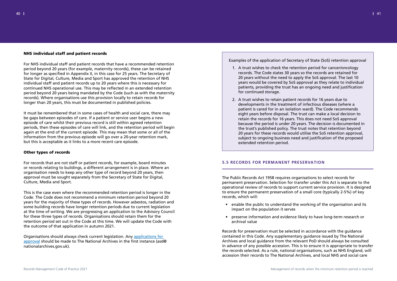# NHS individual staff and patient records

For NHS individual staff and patient records that have a recommended retention period beyond 20 years (for example, maternity records), these can be retained for longer as specified in Appendix II, in this case for 25 years. The Secretary of State for Digital, Culture, Media and Sport has approved the retention of NHS individual staff and patient records up to 20 years where this is necessary for continued NHS operational use. This may be reflected in an extended retention period beyond 20 years being mandated by the Code (such as with the maternity records). Where organisations use this provision locally to retain records for longer than 20 years, this must be documented in published policies.

It must be remembered that in some cases of health and social care, there may be gaps between episodes of care. If a patient or service user begins a new episode of care whilst their previous record is still within agreed retention periods, then these episodes of care will link, and the retention period will begin again at the end of the current episode. This may mean that some or all of the information from the previous episode will go over a 20-year retention mark, but this is acceptable as it links to a more recent care episode.

# Other types of records

For records that are not staff or patient records, for example, board minutes or records relating to buildings, a different arrangement is in place. Where an organisation needs to keep any other type of record beyond 20 years, then approval must be sought separately from the Secretary of State for Digital, Culture, Media and Sport.

This is the case even where the recommended retention period is longer in the Code. The Code does not recommend a minimum retention period beyond 20 years for the majority of these types of records. However asbestos, radiation and some building records have longer retention periods due to current legislation at the time of writing. We are progressing an application to the Advisory Council for these three types of records. Organisations should retain them for the retention period set out in the Code at this time. We will update the Code with the outcome of that application in autumn 2021.

Organisations should always check current legislation. Any applications for approval should be made to The National Archives in the first instance (asd@ nationalarchives.gov.uk).

Examples of the application of Secretary of State (SoS) retention approval

years would be covered by SoS approval as they relate to individual

- 1. A trust wishes to check the retention period for cancer/oncology records. The Code states 30 years so the records are retained for 20 years without the need to apply the SoS approval. The last 10 patients, providing the trust has an ongoing need and justification for continued storage.
- 2. A trust wishes to retain patient records for 16 years due to developments in the treatment of infectious diseases (where a patient is cared for in an isolation ward). The Code recommends eight years before disposal. The trust can make a local decision to retain the records for 16 years. This does not need SoS approval the trust's published policy. The trust notes that retention beyond extended retention period.

because the period is under 20 years. The decision is documented in 20 years for these records would utilise the SoS retention approval, subject to ongoing business need and justification of the proposed

# <span id="page-20-0"></span>**5.5 RECORDS FOR PERMANENT PRESERVATION**

The Public Records Act 1958 requires organisations to select records for permanent preservation. Selection for transfer under this Act is separate to the operational review of records to support current service provision. It is designed to ensure the permanent preservation of a small core (typically 2-5%) of key records, which will:

- enable the public to understand the working of the organisation and its impact on the population it serves
- preserve information and evidence likely to have long-term research or archival value

Records for preservation must be selected in accordance with the guidance contained in this Code. Any supplementary guidance issued by The National Archives and local guidance from the relevant PoD should always be consulted in advance of any possible accession. This is to ensure it is appropriate to transfer the records selected. As a rule, national organisations, such as NHS England, will accession their records to The National Archives, and local NHS and social care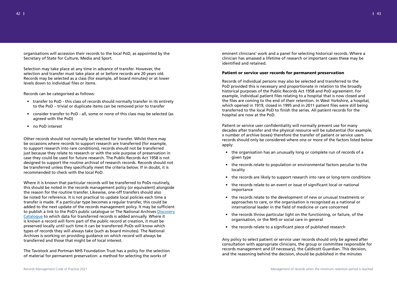organisations will accession their records to the local PoD, as appointed by the Secretary of State for Culture, Media and Sport.

- transfer to PoD this class of records should normally transfer in its entirety to the PoD – trivial or duplicate items can be removed prior to transfer
- consider transfer to PoD all, some or none of this class may be selected (as agreed with the PoD)
- no PoD interest

Selection may take place at any time in advance of transfer. However, the selection and transfer must take place at or before records are 20 years old. Records may be selected as a class (for example, all board minutes) or at lower levels down to individual files or items.

Records can be categorised as follows:

Other records should not normally be selected for transfer. Whilst there may be occasions where records to support research are transferred (for example, to support research into rare conditions), records should not be transferred just because they relate to research or with the sole purpose of preservation in case they could be used for future research. The Public Records Act 1958 is not designed to support the routine archival of research records. Records should not be transferred unless they specifically meet the criteria below. If in doubt, it is recommended to check with the local PoD.

Where it is known that particular records will be transferred to PoDs routinely, this should be noted in the records management policy (or equivalent) alongside the reason for the routine transfer. Likewise, one-off transfers should also be noted for reference. It is not practical to update local policies each time a transfer is made. If a particular type becomes a regular transfer, this could be added to the next update of the records management policy. It may be sufficient to publish a link to the PoD's public catalogue or The National Archives Discovery Catalogue to which data for transferred records is added annually. Where it is known a record will form part of the public record at creation, it must be preserved locally until such time it can be transferred. PoDs will know which types of records they will always take (such as board minutes). The National Archives is working on providing guidance on which record will always be transferred and those that might be of local interest.

The Tavistock and Portman NHS Foundation Trust has a policy for the selection of material for permanent preservation: a method for selecting the works of

eminent clinicians' work and a panel for selecting historical records. Where a clinician has amassed a lifetime of research or important cases these may be identified and retained.

# Patient or service user records for permanent preservation

Records of individual persons may also be selected and transferred to the PoD provided this is necessary and proportionate in relation to the broadly historical purposes of the Public Records Act 1958 and PoD agreement. For example, individual patient files relating to a hospital that is now closed and the files are coming to the end of their retention. In West Yorkshire, a hospital, which opened in 1919, closed in 1995 and in 2011 patient files were still being transferred to the local PoD to finish the series. All patient records for the hospital are now at the PoD.

Patient or service user confidentiality will normally prevent use for many decades after transfer and the physical resource will be substantial (for example, x number of archive boxes) therefore the transfer of patient or service users records should only be considered where one or more of the factors listed below apply:

- the organisation has an unusually long or complete run of records of a given type
- the records relate to population or environmental factors peculiar to the locality
- the records are likely to support research into rare or long-term conditions
- the records relate to an event or issue of significant local or national importance
- the records relate to the development of new or unusual treatments or approaches to care, or the organisation is recognised as a national or international leader in the field of medicine or care concerned
- the records throw particular light on the functioning, or failure, of the organisation, or the NHS or social care in general
- the records relate to a significant piece of published research

Any policy to select patient or service user records should only be agreed after consultation with appropriate clinicians, the group or committee responsible for records management and (if necessary), the Caldicott Guardian. This decision, and the reasoning behind the decision, should be published in the minutes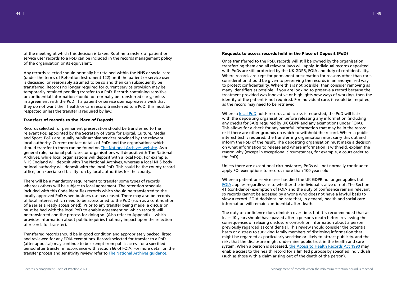of the meeting at which this decision is taken. Routine transfers of patient or service user records to a PoD can be included in the records management policy of the organisation or its equivalent.

Any records selected should normally be retained within the NHS or social care (under the terms of Retention Instrument 122) until the patient or service user is deceased, or reasonably assumed to be so and then can subsequently be transferred. Records no longer required for current service provision may be temporarily retained pending transfer to a PoD. Records containing sensitive or confidential information should not normally be transferred early, unless in agreement with the PoD. If a patient or service user expresses a wish that they do not want their health or care record transferred to a PoD, this must be respected unless the transfer is required by law.

# Transfers of records to the Place of Deposit

Records selected for permanent preservation should be transferred to the relevant PoD appointed by the Secretary of State for Digital, Culture, Media and Sport. PoDs are usually public archive services provided by the relevant local authority. Current contact details of PoDs and the organisations which should transfer to them can be found on The National Archives website. As a general rule, national public sector organisations will deposit with The National Archives, while local organisations will deposit with a local PoD. For example, NHS England will deposit with The National Archives, whereas a local NHS body or local authority will deposit with the local PoD. This could be the county record office, or a specialised facility run by local authorities for the county.

There will be a mandatory requirement to transfer some types of records whereas others will be subject to local agreement. The retention schedule included with this Code identifies records which should be transferred to the locally approved PoD when business use has ceased. There may also be records of local interest which need to be accessioned to the PoD (such as a continuation of a series already accessioned). Prior to any transfer being made, a discussion must be had with the local PoD to enable agreement on which records will be transferred and the process for doing so. (Also refer to Appendix I, which provides information about public inquiries that may impact upon the selection of records for transfer).

Where a local PoD holds records and access is requested, the PoD will liaise with the depositing organisation before releasing any information (including any checks for SARs required by UK GDPR and any exemptions under FOIA). This allows for a check for any harmful information that may be in the record or if there are other grounds on which to withhold the record. Where a public interest test is required, the transferring organisation must carry this out and inform the PoD of the result. The depositing organisation must make a decision on what information to release and where information is withheld, explain the reason why (except in exceptional circumstances, for example, a court order to the PoD).

Transferred records should be in good condition and appropriately packed, listed and reviewed for any FOIA exemptions. Records selected for transfer to a PoD (after appraisal) may continue to be exempt from public access for a specified period after transfer in accordance with Section 66 of FOIA. For more detail on the transfer process and sensitivity review refer to The National Archives guidance.

# Requests to access records held in the Place of Deposit (PoD)

Once transferred to the PoD, records will still be owned by the organisation transferring them and all relevant laws will apply. Individual records deposited with PoDs are still protected by the UK GDPR, FOIA and duty of confidentiality. Where records are kept for permanent preservation for reasons other than care, consideration should be given to preserving the records in an anonymised way to protect confidentiality. Where this is not possible, then consider removing as many identifiers as possible. If you are looking to preserve a record because the treatment provided was innovative or highlights new ways of working, then the identity of the patient is not required. For individual care, it would be required, as the record may need to be retrieved.

Unless there are exceptional circumstances, PoDs will not normally continue to apply FOI exemptions to records more than 100 years old.

Where a patient or service user has died the UK GDPR no longer applies but FOIA applies regardless as to whether the individual is alive or not. The Section 41 (confidence) exemption of FOIA and the duty of confidence remain relevant so records cannot be accessed by anyone who does not have a lawful basis to view a record. FOIA decisions indicate that, in general, health and social care information will remain confidential after death.

The duty of confidence does diminish over time, but it is recommended that at least 10 years should have passed after a person's death before reviewing the consequences of relaxing disclosure controls on information about a person previously regarded as confidential. This review should consider the potential harm or distress to surviving family members of disclosing information that might be regarded as particularly sensitive or likely to attract publicity, and the risks that the disclosure might undermine public trust in the health and care system. When a person is deceased, the Access to Health Records Act 1990 may enable access to the health record for a limited purpose by specified individuals (such as those with a claim arising out of the death of the person).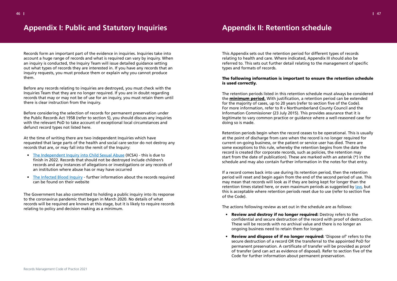Records form an important part of the evidence in inquiries. Inquiries take into account a huge range of records and what is required can vary by inquiry. When an inquiry is conducted, the Inquiry Team will issue detailed guidance setting out what types of records they are interested in. If you have any records that an inquiry requests, you must produce them or explain why you cannot produce them.

Before any records relating to inquiries are destroyed, you must check with the Inquiries Team that they are no longer required. If you are in doubt regarding records that may or may not be of use for an inquiry, you must retain them until there is clear instruction from the inquiry.

Before considering the selection of records for permanent preservation under the Public Records Act 1958 (refer to section 5), you should discuss any inquiries with the relevant PoD to take account of exceptional local circumstances and defunct record types not listed here.

At the time of writing there are two independent Inquiries which have requested that large parts of the health and social care sector do not destroy any records that are, or may fall into the remit of the Inquiry:

- The Independent Inquiry into Child Sexual Abuse (IICSA) this is due to finish in 2022. Records that should not be destroyed include children's records and any instances of allegations or investigations or any records of an institution where abuse has or may have occurred
- The Infected Blood Inquiry further information about the records required can be found on their website

The Government has also committed to holding a public inquiry into its response to the coronavirus pandemic that began in March 2020. No details of what records will be required are known at this stage, but it is likely to require records relating to policy and decision making as a minimum.

<span id="page-23-1"></span>This Appendix sets out the retention period for different types of records relating to health and care. Where indicated, Appendix III should also be referred to. This sets out further detail relating to the management of specific types and formats of records.

- Review and destroy if no longer required: Destroy refers to the These will be records with no archival value and there is no longer an ongoing business need to retain them for longer.
- Review and dispose of if no longer required: 'Dispose of' refers to the Code for further information about permanent preservation.

# The following information is important to ensure the retention schedule is used correctly.

The retention periods listed in this retention schedule must always be considered the **minimum period.** With justification, a retention period can be extended for the majority of cases, up to 20 years (refer to section five of the Code). For more information, refer to R v Northumberland County Council and the Information Commissioner (23 July 2015). This provides assurance that it is legitimate to vary common practice or guidance where a well-reasoned case for doing so is made.

Retention periods begin when the record ceases to be operational. This is usually at the point of discharge from care when the record is no longer required for current on-going business, or the patient or service user has died. There are some exceptions to this rule, whereby the retention begins from the date the record is created (for corporate records, such as policies, the retention may start from the date of publication). These are marked with an asterisk (\*) in the schedule and may also contain further information in the notes for that entry.

If a record comes back into use during its retention period, then the retention period will reset and begin again from the end of the second period of use. This may mean that records will look as if they are being kept for longer than the retention times stated here, or even maximum periods as suggested by law, but this is acceptable where retention periods reset due to use (refer to section five of the Code).

The actions following review as set out in the schedule are as follows:

confidential and secure destruction of the record with proof of destruction.

secure destruction of a record OR the transferral to the appointed PoD for permanent preservation. A certificate of transfer will be provided as proof of transfer (and can act as evidence of disposal). Refer to section five of the

# <span id="page-23-0"></span>**Appendix I: Public and Statutory Inquiries Appendix II: Retention schedule**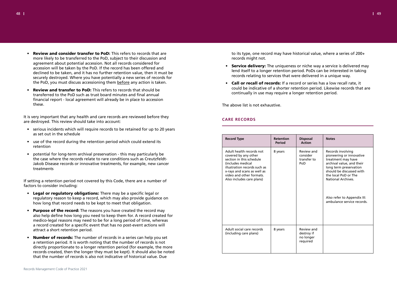

- Review and consider transfer to PoD: This refers to records that are more likely to be transferred to the PoD, subject to their discussion and agreement about potential accession. Not all records considered for accession will be taken by the PoD. If the record has been offered and declined to be taken, and it has no further retention value, then it must be securely destroyed. Where you have potentially a new series of records for the PoD, you must discuss accessioning them before any action is taken.
- **Review and transfer to PoD:** This refers to records that should be transferred to the PoD such as trust board minutes and final annual financial report - local agreement will already be in place to accession these.

It is very important that any health and care records are reviewed before they are destroyed. This review should take into account:

- serious incidents which will require records to be retained for up to 20 years as set out in the schedule
- use of the record during the retention period which could extend its retention
- potential for long-term archival preservation this may particularly be the case where the records relate to rare conditions such as Creutzfeldt-Jakob Disease records or innovative treatments, for example, new cancer treatments

If setting a retention period not covered by this Code, there are a number of factors to consider including:

- Service delivery: The uniqueness or niche way a service is delivered may lend itself to a longer retention period. PoDs can be interested in taking records relating to services that were delivered in a unique way.
- Call or recall of records: If a record or series has a low recall rate, it continually in use may require a longer retention period.

- Legal or regulatory obligations: There may be a specific legal or regulatory reason to keep a record, which may also provide guidance on how long that record needs to be kept to meet that obligation.
- Purpose of the record: The reasons you have created the record may also help define how long you need to keep them for. A record created for medico-legal reasons may need to be for a long period of time, whereas a record created for a specific event that has no post-event actions will attract a short retention period.
- Number of records: The number of records in a series can help you set a retention period. It is worth noting that the number of records is not directly proportionate to a longer retention period (for example, the more records created, then the longer they must be kept). It should also be noted that the number of records is also not indicative of historical value. Due

to its type, one record may have historical value, where a series of 200+ records might not.

could be indicative of a shorter retention period. Likewise records that are

The above list is not exhaustive.

# **CARE RECORDS**

| <b>Record Type</b>                                                                                                                                                                                                        | <b>Retention</b><br><b>Period</b> | <b>Disposal</b><br><b>Action</b>                  | <b>Notes</b>                                                                                                                                                                                                                                                            |
|---------------------------------------------------------------------------------------------------------------------------------------------------------------------------------------------------------------------------|-----------------------------------|---------------------------------------------------|-------------------------------------------------------------------------------------------------------------------------------------------------------------------------------------------------------------------------------------------------------------------------|
| Adult health records not<br>covered by any other<br>section in this schedule<br>(includes medical<br>illustration records such as<br>x-rays and scans as well as<br>video and other formats.<br>Also includes care plans) | 8 years                           | Review and<br>consider<br>transfer to<br>PoD      | Records involving<br>pioneering or innovative<br>treatment may have<br>archival value, and their<br>long term preservation<br>should be discussed with<br>the local PoD or The<br><b>National Archives</b><br>Also refer to Appendix III:<br>ambulance service records. |
| Adult social care records<br>(including care plans)                                                                                                                                                                       | 8 years                           | Review and<br>destroy if<br>no longer<br>required |                                                                                                                                                                                                                                                                         |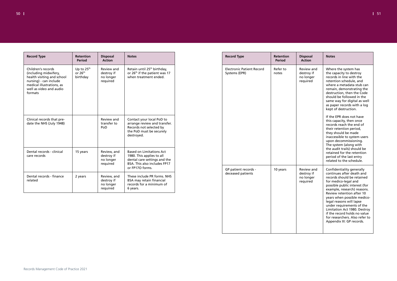| I | I |
|---|---|
|   |   |

| <b>Record Type</b>                                                                                                                                                     | Retention<br><b>Period</b>          | <b>Disposal</b><br><b>Action</b>                   | <b>Notes</b>                                                                                                                   |
|------------------------------------------------------------------------------------------------------------------------------------------------------------------------|-------------------------------------|----------------------------------------------------|--------------------------------------------------------------------------------------------------------------------------------|
| Children's records<br>(including midwifery,<br>health visiting and school<br>nursing) - can include<br>medical illustrations, as<br>well as video and audio<br>formats | Up to $25th$<br>or 26th<br>birthday | Review and<br>destroy if<br>no longer<br>required  | Retain until 25 <sup>th</sup> birthday,<br>or 26 <sup>th</sup> if the patient was 17<br>when treatment ended.                  |
| Clinical records that pre-<br>date the NHS (July 1948)                                                                                                                 |                                     | Review and<br>transfer to<br>PoD                   | Contact your local PoD to<br>arrange review and transfer.<br>Records not selected by<br>the PoD must be securely<br>destroyed. |
| Dental records - clinical<br>care records                                                                                                                              | 15 years                            | Review, and<br>destroy if<br>no longer<br>required | <b>Based on Limitations Act</b><br>1980. This applies to all<br>dental care settings and the<br>BSA. This also includes FP17   |
| Dental records - finance<br>related                                                                                                                                    | 2 years                             | Review, and<br>destroy if<br>no longer<br>required | or FP17O forms.<br>These include PR forms. NHS<br>BSA may retain financial<br>records for a minimum of<br>6 years.             |
|                                                                                                                                                                        |                                     |                                                    |                                                                                                                                |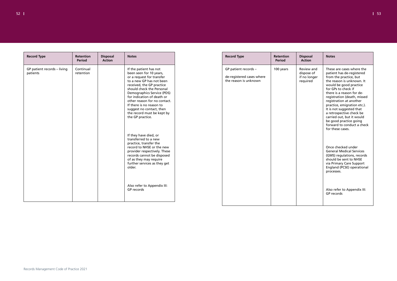| <b>Record Type</b>                      | <b>Retention</b><br><b>Period</b> | <b>Disposal</b><br><b>Action</b> | <b>Notes</b>                                                                                                                                                                                                                                                                                                                                                               |
|-----------------------------------------|-----------------------------------|----------------------------------|----------------------------------------------------------------------------------------------------------------------------------------------------------------------------------------------------------------------------------------------------------------------------------------------------------------------------------------------------------------------------|
| GP patient records - living<br>patients | Continual<br>retention            |                                  | If the patient has not<br>been seen for 10 years,<br>or a request for transfer<br>to a new GP has not been<br>received, the GP practice<br>should check the Personal<br>Demographics Service (PDS)<br>for indication of death or<br>other reason for no contact.<br>If there is no reason to<br>suggest no contact, then<br>the record must be kept by<br>the GP practice. |
|                                         |                                   |                                  | If they have died, or<br>transferred to a new<br>practice, transfer the<br>record to NHSE or the new<br>provider respectively. These<br>records cannot be disposed<br>of as they may require<br>further services as they get<br>older.                                                                                                                                     |
|                                         |                                   |                                  | Also refer to Appendix III:<br>GP records                                                                                                                                                                                                                                                                                                                                  |

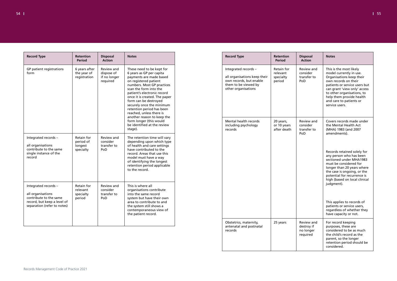| <b>Record Type</b>                                                                                                                | <b>Retention</b><br><b>Period</b>               | <b>Disposal</b><br><b>Action</b>                                                                                                                                                                                                                                                                                                                                                                                                       | <b>Notes</b>                                                                                                                                                                                                                                               |
|-----------------------------------------------------------------------------------------------------------------------------------|-------------------------------------------------|----------------------------------------------------------------------------------------------------------------------------------------------------------------------------------------------------------------------------------------------------------------------------------------------------------------------------------------------------------------------------------------------------------------------------------------|------------------------------------------------------------------------------------------------------------------------------------------------------------------------------------------------------------------------------------------------------------|
| GP patient registrations<br>form                                                                                                  | 6 years after<br>the year of<br>registration    | These need to be kept for<br>Review and<br>dispose of<br>6 years as GP per capita<br>if no longer<br>payments are made based<br>on registered patient<br>required<br>numbers. Most GP practices<br>scan the form into the<br>patient's electronic record<br>once it is created. The paper<br>form can be destroyed<br>securely once the minimum<br>retention period has been<br>reached, unless there is<br>another reason to keep the |                                                                                                                                                                                                                                                            |
|                                                                                                                                   |                                                 |                                                                                                                                                                                                                                                                                                                                                                                                                                        | form longer (this would<br>be identified at the review<br>stage).                                                                                                                                                                                          |
| Integrated records -<br>all organisations<br>contribute to the same<br>single instance of the<br>record                           | Retain for<br>period of<br>longest<br>specialty | Review and<br>consider<br>transfer to<br>PoD                                                                                                                                                                                                                                                                                                                                                                                           | The retention time will vary<br>depending upon which type<br>of health and care settings<br>have contributed to the<br>record. Areas that use this<br>model must have a way<br>of identifying the longest<br>retention period applicable<br>to the record. |
| Integrated records -<br>all organisations<br>contribute to the same<br>record, but keep a level of<br>separation (refer to notes) | Retain for<br>relevant<br>specialty<br>period   | Review and<br>consider<br>transfer to<br>PoD                                                                                                                                                                                                                                                                                                                                                                                           | This is where all<br>organisations contribute<br>into the same record<br>system but have their own<br>area to contribute to and<br>the system still shows a<br>contemporaneous view of<br>the patient record.                                              |
|                                                                                                                                   |                                                 |                                                                                                                                                                                                                                                                                                                                                                                                                                        |                                                                                                                                                                                                                                                            |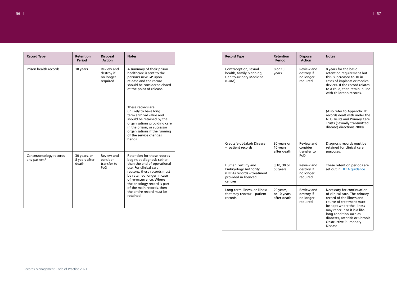| $56 \pm 1$ |  | $\sqrt{1}$ 57 |
|------------|--|---------------|
|            |  |               |

| <b>Record Type</b>                        | <b>Retention</b><br><b>Period</b> | <b>Disposal</b><br><b>Action</b>                  | <b>Notes</b>                                                                                                                                                                                                                              |
|-------------------------------------------|-----------------------------------|---------------------------------------------------|-------------------------------------------------------------------------------------------------------------------------------------------------------------------------------------------------------------------------------------------|
| Prison health records                     | 10 years                          | Review and<br>destroy if<br>no longer<br>required | A summary of their prison<br>healthcare is sent to the<br>person's new GP upon<br>release and the record<br>should be considered closed<br>at the point of release.                                                                       |
|                                           |                                   |                                                   | These records are<br>unlikely to have long<br>term archival value and<br>should be retained by the<br>organisations providing care<br>in the prison, or successor<br>organisations if the running<br>of the service changes<br>hands.     |
| Cancer/oncology records -<br>any patient* | 30 years, or<br>8 years after     | Review and<br>consider                            | Retention for these records<br>begins at diagnosis rather<br>than the end of operational<br>use. For clinical care<br>reasons, these records must<br>be retained longer in case<br>of re-occurrence. Where<br>the oncology record is part |
|                                           | death                             | transfer to<br>PoD                                |                                                                                                                                                                                                                                           |
|                                           |                                   |                                                   | of the main records, then<br>the entire record must be<br>retained.                                                                                                                                                                       |
|                                           |                                   |                                                   |                                                                                                                                                                                                                                           |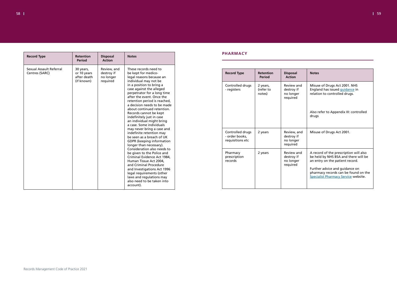

| <b>Record Type</b>                        | <b>Retention</b><br><b>Period</b>                     | <b>Disposal</b><br><b>Action</b>                   | <b>Notes</b>                                                                                                                                                                                                                                                                                                                                                |
|-------------------------------------------|-------------------------------------------------------|----------------------------------------------------|-------------------------------------------------------------------------------------------------------------------------------------------------------------------------------------------------------------------------------------------------------------------------------------------------------------------------------------------------------------|
|                                           |                                                       |                                                    |                                                                                                                                                                                                                                                                                                                                                             |
| Sexual Assault Referral<br>Centres (SARC) | 30 years,<br>or 10 years<br>after death<br>(if known) | Review, and<br>destroy if<br>no longer<br>required | These records need to<br>be kept for medico-<br>legal reasons because an<br>individual may not be                                                                                                                                                                                                                                                           |
|                                           |                                                       |                                                    | in a position to bring a<br>case against the alleged<br>perpetrator for a long time<br>after the event. Once the<br>retention period is reached,<br>a decision needs to be made<br>about continued retention.<br>Records cannot be kept<br>indefinitely just in case<br>an individual might bring<br>a case. Some individuals<br>may never bring a case and |
|                                           |                                                       |                                                    | indefinite retention may<br>be seen as a breach of UK<br><b>GDPR</b> (keeping information<br>longer than necessary).                                                                                                                                                                                                                                        |
|                                           |                                                       |                                                    | Consideration also needs to<br>be given to the Police and<br>Criminal Evidence Act 1984,<br>Human Tissue Act 2004,<br>and Criminal Procedure<br>and Investigations Act 1996<br>legal requirements (other<br>laws and regulations may<br>also need to be taken into<br>account).                                                                             |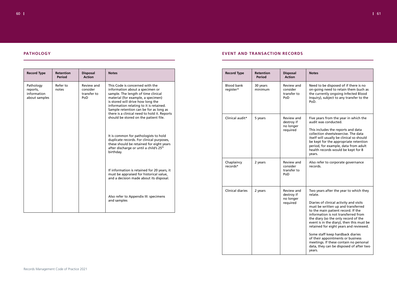# 60  $\,$  1  $\,$  61  $\,$  61  $\,$  61  $\,$  61  $\,$  61  $\,$  61  $\,$  61  $\,$  61  $\,$  61  $\,$  61  $\,$  61  $\,$  61  $\,$  61  $\,$  61  $\,$  61  $\,$  61  $\,$  61  $\,$  61  $\,$  61  $\,$  61  $\,$  61  $\,$  61  $\,$  61  $\,$  61  $\,$  61  $\,$  61  $\,$

# **PATHOLOGY**

| <b>Record Type</b>                                    | <b>Retention</b><br><b>Period</b> | <b>Disposal</b><br><b>Action</b>             | <b>Notes</b>                                                                                                                                                                                                                                                                                                                                                       |
|-------------------------------------------------------|-----------------------------------|----------------------------------------------|--------------------------------------------------------------------------------------------------------------------------------------------------------------------------------------------------------------------------------------------------------------------------------------------------------------------------------------------------------------------|
| Pathology<br>reports,<br>information<br>about samples | Refer to<br>notes                 | Review and<br>consider<br>transfer to<br>PoD | This Code is concerned with the<br>information about a specimen or<br>sample. The length of time clinical<br>material (for example, a specimen)<br>is stored will drive how long the<br>information relating to it is retained.<br>Sample retention can be for as long as<br>there is a clinical need to hold it. Reports<br>should be stored on the patient file. |
|                                                       |                                   |                                              | It is common for pathologists to hold<br>duplicate records. For clinical purposes,<br>these should be retained for eight years<br>after discharge or until a child's 25 <sup>th</sup><br>birthday.                                                                                                                                                                 |
|                                                       |                                   |                                              | If information is retained for 20 years, it<br>must be appraised for historical value,<br>and a decision made about its disposal.                                                                                                                                                                                                                                  |
|                                                       |                                   |                                              | Also refer to Appendix III: specimens<br>and samples                                                                                                                                                                                                                                                                                                               |

# **EVENT AND TRANSACTION RECORDS**

| <b>Record Type</b>             | <b>Retention</b><br><b>Period</b> | <b>Disposal</b><br><b>Action</b>                  |
|--------------------------------|-----------------------------------|---------------------------------------------------|
| <b>Blood bank</b><br>register* | 30 years<br>minimum               | Review and<br>consider<br>transfer to<br>PoD      |
| Clinical audit*                | 5 years                           | Review and<br>destroy if<br>no longer<br>required |
| Chaplaincy<br>records*         | 2 years                           | Review and<br>consider<br>transfer to<br>PoD      |
| <b>Clinical diaries</b>        | 2 years                           | Review and<br>destroy if<br>no longer<br>required |

|   | <b>Notes</b>                                                                                                                                                                                                                                                                                                                                                                                                                                                                                                           |
|---|------------------------------------------------------------------------------------------------------------------------------------------------------------------------------------------------------------------------------------------------------------------------------------------------------------------------------------------------------------------------------------------------------------------------------------------------------------------------------------------------------------------------|
| k | Need to be disposed of if there is no<br>on-going need to retain them (such as<br>the currently ongoing Infected Blood<br>Inquiry), subject to any transfer to the<br>PoD.                                                                                                                                                                                                                                                                                                                                             |
| k | Five years from the year in which the<br>audit was conducted.<br>This includes the reports and data<br>collection sheets/exercise. The data<br>itself will usually be clinical so should<br>be kept for the appropriate retention<br>period, for example, data from adult<br>health records would be kept for 8<br>years.                                                                                                                                                                                              |
| k | Also refer to corporate governance<br>records.                                                                                                                                                                                                                                                                                                                                                                                                                                                                         |
| J | Two years after the year to which they<br>relate.<br>Diaries of clinical activity and visits<br>must be written up and transferred<br>to the main patient record. If the<br>information is not transferred from<br>the diary (so the only record of the<br>event is in the diary), then this must be<br>retained for eight years and reviewed.<br>Some staff keep hardback diaries<br>of their appointments or business<br>meetings. If these contain no personal<br>data, they can be disposed of after two<br>years. |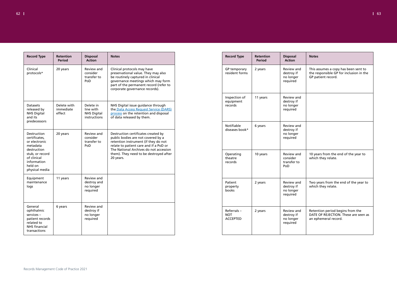

| <b>Record Type</b>                                                                                                                                     | <b>Retention</b><br><b>Period</b>  | <b>Disposal</b><br><b>Action</b>                             | <b>Notes</b>                                                                                                                                                                                                                                                 |
|--------------------------------------------------------------------------------------------------------------------------------------------------------|------------------------------------|--------------------------------------------------------------|--------------------------------------------------------------------------------------------------------------------------------------------------------------------------------------------------------------------------------------------------------------|
| Clinical<br>protocols*                                                                                                                                 | 20 years                           | Review and<br>consider<br>transfer to<br>PoD                 | Clinical protocols may have<br>preservational value. They may also<br>be routinely captured in clinical<br>governance meetings which may form<br>part of the permanent record (refer to<br>corporate governance records).                                    |
| <b>Datasets</b><br>released by<br><b>NHS Digital</b><br>and its<br>predecessors                                                                        | Delete with<br>immediate<br>effect | Delete in<br>line with<br><b>NHS Digital</b><br>instructions | NHS Digital issue guidance through<br>the Data Access Request Service (DARS)<br>process on the retention and disposal<br>of data released by them.                                                                                                           |
| Destruction<br>certificates,<br>or electronic<br>metadata<br>destruction<br>stub, or record<br>of clinical<br>information<br>held on<br>physical media | 20 years                           | <b>Review and</b><br>consider<br>transfer to<br>PoD          | Destruction certificates created by<br>public bodies are not covered by a<br>retention instrument (if they do not<br>relate to patient care and if a PoD or<br>The National Archives do not accession<br>them). They need to be destroyed after<br>20 years. |
| Equipment<br>maintenance<br>logs                                                                                                                       | 11 years                           | Review and<br>destroy and<br>no longer<br>required           |                                                                                                                                                                                                                                                              |
| General<br>ophthalmic<br>services-<br>patient records<br>related to<br><b>NHS</b> financial<br>transactions                                            | 6 years                            | Review and<br>destroy if<br>no longer<br>required            |                                                                                                                                                                                                                                                              |

|   | <b>Notes</b>                                                                                          |
|---|-------------------------------------------------------------------------------------------------------|
| d | This assumes a copy has been sent to<br>the responsible GP for inclusion in the<br>GP patient record. |
| d |                                                                                                       |
| d |                                                                                                       |
| d | 10 years from the end of the year to<br>which they relate.                                            |
| d | Two years from the end of the year to<br>which they relate.                                           |
| d | Retention period begins from the<br>DATE OF REJECTION. These are seen as<br>an ephemeral record.      |
|   |                                                                                                       |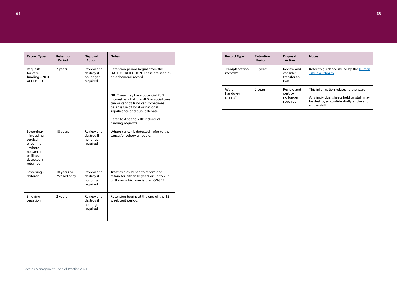

| <b>Record Type</b>                                                                                                  | <b>Retention</b><br><b>Period</b>        | <b>Disposal</b><br><b>Action</b>                         | <b>Notes</b>                                                                                                                                                                                                                |
|---------------------------------------------------------------------------------------------------------------------|------------------------------------------|----------------------------------------------------------|-----------------------------------------------------------------------------------------------------------------------------------------------------------------------------------------------------------------------------|
| Requests<br>for care<br>funding - NOT<br><b>ACCEPTED</b>                                                            | 2 years                                  | Review and<br>destroy if<br>no longer<br>required        | Retention period begins from the<br>DATE OF REJECTION. These are seen as<br>an ephemeral record.                                                                                                                            |
|                                                                                                                     |                                          |                                                          | NB: These may have potential PoD<br>interest as what the NHS or social care<br>can or cannot fund can sometimes<br>be an issue of local or national<br>significance and public debate.<br>Refer to Appendix III: individual |
|                                                                                                                     |                                          |                                                          | funding requests                                                                                                                                                                                                            |
| Screening*<br>- including<br>cervical<br>screening<br>- where<br>no cancer<br>or illness<br>detected is<br>returned | 10 years                                 | <b>Review and</b><br>destroy if<br>no longer<br>required | Where cancer is detected, refer to the<br>cancer/oncology schedule.                                                                                                                                                         |
| Screening -<br>children                                                                                             | 10 years or<br>25 <sup>th</sup> birthday | Review and<br>destroy if<br>no longer<br>required        | Treat as a child health record and<br>retain for either 10 years or up to 25 <sup>th</sup><br>birthday, whichever is the LONGER.                                                                                            |
| Smoking<br>cessation                                                                                                | 2 years                                  | Review and<br>destroy if<br>no longer<br>required        | Retention begins at the end of the 12-<br>week quit period.                                                                                                                                                                 |

|  | <b>Record Type</b>          | <b>Retention</b><br><b>Period</b> | <b>Disposal</b><br><b>Action</b>                  |  |
|--|-----------------------------|-----------------------------------|---------------------------------------------------|--|
|  | Transplantation<br>records* | 30 years                          | Review and<br>consider<br>transfer to<br>PoD      |  |
|  | Ward<br>handover<br>sheets* | 2 years                           | Review and<br>destroy if<br>no longer<br>required |  |

|   | <b>Notes</b>                                                                                                                               |
|---|--------------------------------------------------------------------------------------------------------------------------------------------|
| d | Refer to guidance issued by the Human<br><b>Tissue Authority</b>                                                                           |
| d | This information relates to the ward.<br>Any individual sheets held by staff may<br>be destroyed confidentially at the end<br>of the shift |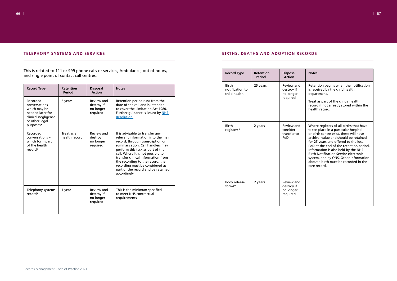# **TELEPHONY SYSTEMS AND SERVICES**

This is related to 111 or 999 phone calls or services, Ambulance, out of hours, and single point of contact call centres.

| <b>Record Type</b>                                                                                                    | <b>Retention</b><br>Period  | <b>Disposal</b><br><b>Action</b>                  | <b>Notes</b>                                                                                                                                                                                                                                                                                                                                                                              |  |
|-----------------------------------------------------------------------------------------------------------------------|-----------------------------|---------------------------------------------------|-------------------------------------------------------------------------------------------------------------------------------------------------------------------------------------------------------------------------------------------------------------------------------------------------------------------------------------------------------------------------------------------|--|
| Recorded<br>conversations -<br>which may be<br>needed later for<br>clinical negligence<br>or other legal<br>purposes* | 6 years                     | Review and<br>destroy if<br>no longer<br>required | Retention period runs from the<br>date of the call and is intended<br>to cover the Limitation Act 1980.<br>Further guidance is issued by NHS<br>Resolution.                                                                                                                                                                                                                               |  |
| Recorded<br>conversations -<br>which form part<br>of the health<br>record*                                            | Treat as a<br>health record | Review and<br>destroy if<br>no longer<br>required | It is advisable to transfer any<br>relevant information into the main<br>record, through transcription or<br>summarisation. Call handlers may<br>perform this task as part of the<br>call. Where it is not possible to<br>transfer clinical information from<br>the recording to the record, the<br>recording must be considered as<br>part of the record and be retained<br>accordingly. |  |
| Telephony systems<br>record*                                                                                          | 1 year                      | Review and<br>destroy if<br>no longer<br>required | This is the minimum specified<br>to meet NHS contractual<br>requirements.                                                                                                                                                                                                                                                                                                                 |  |

# **BIRTHS, DEATHS AND ADOPTION RECORDS**

| <b>Record Type</b>                              | <b>Retention</b><br><b>Period</b> | <b>Disposal</b><br><b>Action</b>                    | <b>Notes</b>                                                                                                                                                                                                                                                                                                                                                                                                                                    |
|-------------------------------------------------|-----------------------------------|-----------------------------------------------------|-------------------------------------------------------------------------------------------------------------------------------------------------------------------------------------------------------------------------------------------------------------------------------------------------------------------------------------------------------------------------------------------------------------------------------------------------|
| <b>Birth</b><br>notification to<br>child health | 25 years                          | Review and<br>destroy if<br>no longer<br>required   | Retention begins when the notification<br>is received by the child health<br>department.<br>Treat as part of the child's health<br>record if not already stored within the<br>health record.                                                                                                                                                                                                                                                    |
| <b>Birth</b><br>registers*                      | 2 years                           | <b>Review and</b><br>consider<br>transfer to<br>PoD | Where registers of all births that have<br>taken place in a particular hospital<br>or birth centre exist, these will have<br>archival value and should be retained<br>for 25 years and offered to the local<br>PoD at the end of the retention period.<br>Information is also held by the NHS<br><b>Birth Notification Service electronic</b><br>system, and by ONS. Other information<br>about a birth must be recorded in the<br>care record. |
| Body release<br>forms*                          | 2 years                           | Review and<br>destroy if<br>no longer<br>required   |                                                                                                                                                                                                                                                                                                                                                                                                                                                 |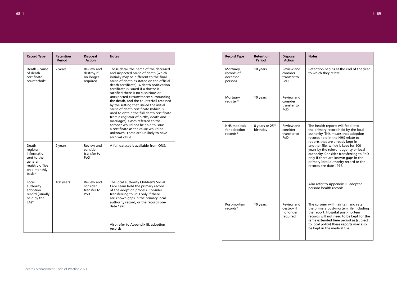

| <b>Record Type</b>                                                                                        | Retention<br><b>Period</b> | <b>Disposal</b><br><b>Action</b>                  | <b>Notes</b>                                                                                                                                                                                                                                                                                                                        |
|-----------------------------------------------------------------------------------------------------------|----------------------------|---------------------------------------------------|-------------------------------------------------------------------------------------------------------------------------------------------------------------------------------------------------------------------------------------------------------------------------------------------------------------------------------------|
| Death - cause<br>of death<br>certificate<br>counterfoil*                                                  | 2 years                    | Review and<br>destroy if<br>no longer<br>required | These detail the name of the deceased<br>and suspected cause of death (which<br>initially may be different to the final<br>cause of death as stated on the official<br>death certificate). A death notification<br>certificate is issued if a doctor is                                                                             |
|                                                                                                           |                            |                                                   | satisfied there is no suspicious or<br>unexpected circumstances surrounding<br>the death, and the counterfoil retained<br>by the setting that issued the initial<br>cause of death certificate (which is<br>used to obtain the full death certificate<br>from a registrar of births, death and<br>marriages). Cases referred to the |
|                                                                                                           |                            |                                                   | coroner would not be able to issue<br>a certificate as the cause would be<br>unknown. These are unlikely to have<br>archival value.                                                                                                                                                                                                 |
| Death -<br>register<br>information<br>sent to the<br>general<br>registry office<br>on a monthly<br>basis* | 2 years                    | Review and<br>consider<br>transfer to<br>PoD      | A full dataset is available from ONS.                                                                                                                                                                                                                                                                                               |
| Local<br>authority<br>adoption<br>record (usually<br>held by the                                          | 100 years                  | Review and<br>consider<br>transfer to<br>PoD      | The local authority Children's Social<br>Care Team hold the primary record<br>of the adoption process. Consider<br>transferring to PoD only if there<br>are known gaps in the primary local                                                                                                                                         |
| $LA)*$                                                                                                    |                            |                                                   | authority record, or the records pre-<br>date 1976.                                                                                                                                                                                                                                                                                 |
|                                                                                                           |                            |                                                   | Also refer to Appendix III: adoption<br>records                                                                                                                                                                                                                                                                                     |

|   | <b>Notes</b>                                                                                                                                                                                                                                                                                                                                                                                                                                                                                    |
|---|-------------------------------------------------------------------------------------------------------------------------------------------------------------------------------------------------------------------------------------------------------------------------------------------------------------------------------------------------------------------------------------------------------------------------------------------------------------------------------------------------|
| ł | Retention begins at the end of the year<br>to which they relate.                                                                                                                                                                                                                                                                                                                                                                                                                                |
| J |                                                                                                                                                                                                                                                                                                                                                                                                                                                                                                 |
| l | The health reports will feed into<br>the primary record held by the local<br>authority. This means that adoption<br>records held in the NHS relate to<br>reports that are already kept in<br>another file, which is kept for 100<br>years by the relevant agency or local<br>authority. Consider transferring to PoD<br>only if there are known gaps in the<br>primary local authority record or the<br>records pre-date 1976.<br>Also refer to Appendix III: adopted<br>persons health records |
| ł | The coroner will maintain and retain<br>the primary post-mortem file including<br>the report. Hospital post-mortem<br>records will not need to be kept for the<br>same extended time period as (subject<br>to local policy) these reports may also<br>be kept in the medical file.                                                                                                                                                                                                              |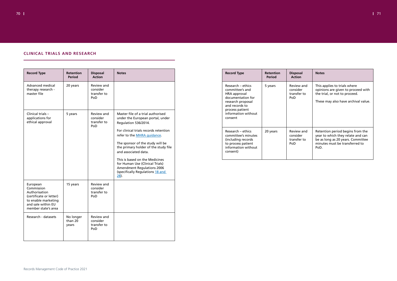

|  |  |  | <b>CLINICAL TRIALS AND RESEARCH</b> |  |
|--|--|--|-------------------------------------|--|
|--|--|--|-------------------------------------|--|

| <b>Record Type</b>                                                                                                                     | <b>Retention</b><br><b>Period</b> | <b>Disposal</b><br><b>Action</b>              | <b>Notes</b>                                                                                                                                                                                                                                                                                                                                                                                                                  |
|----------------------------------------------------------------------------------------------------------------------------------------|-----------------------------------|-----------------------------------------------|-------------------------------------------------------------------------------------------------------------------------------------------------------------------------------------------------------------------------------------------------------------------------------------------------------------------------------------------------------------------------------------------------------------------------------|
| Advanced medical<br>therapy research -<br>master file                                                                                  | 20 years                          | Review and<br>consider<br>transfer to<br>PoD. |                                                                                                                                                                                                                                                                                                                                                                                                                               |
| Clinical trials -<br>applications for<br>ethical approval                                                                              | 5 years                           | Review and<br>consider<br>transfer to<br>PoD  | Master file of a trial authorised<br>under the European portal, under<br>Regulation 536/2014.<br>For clinical trials records retention<br>refer to the MHRA guidance.<br>The sponsor of the study will be<br>the primary holder of the study file<br>and associated data.<br>This is based on the Medicines<br>for Human Use (Clinical Trials)<br><b>Amendment Regulations 2006</b><br>(specifically Regulations 18 and<br>28 |
| European<br>Commission<br>Authorisation<br>(certificate or letter)<br>to enable marketing<br>and sale within EU<br>member state's area | 15 years                          | Review and<br>consider<br>transfer to<br>PoD  |                                                                                                                                                                                                                                                                                                                                                                                                                               |
| Research - datasets                                                                                                                    | No longer<br>than 20<br>years     | Review and<br>consider<br>transfer to<br>PoD  |                                                                                                                                                                                                                                                                                                                                                                                                                               |

| <b>Record Type</b>                                                                                                                                                    | <b>Retention</b><br><b>Period</b> | <b>Disposal</b><br><b>Action</b>             | <b>Notes</b>                                                                                                                                         |
|-----------------------------------------------------------------------------------------------------------------------------------------------------------------------|-----------------------------------|----------------------------------------------|------------------------------------------------------------------------------------------------------------------------------------------------------|
| Research – ethics<br>committee's and<br>HRA approval<br>documentation for<br>research proposal<br>and records to<br>process patient<br>information without<br>consent | 5 years                           | Review and<br>consider<br>transfer to<br>PoD | This applies to trials where<br>opinions are given to proceed with<br>the trial, or not to proceed.<br>These may also have archival value.           |
| Research – ethics<br>committee's minutes<br>(including records)<br>to process patient<br>information without<br>consent)                                              | 20 years                          | Review and<br>consider<br>transfer to<br>PoD | Retention period begins from the<br>year to which they relate and can<br>be as long as 20 years. Committee<br>minutes must be transferred to<br>PoD. |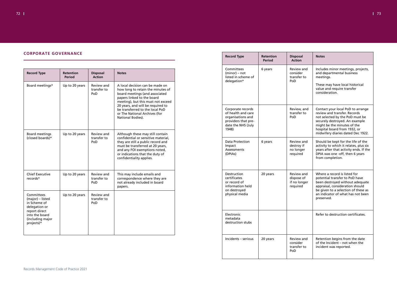|  |  |  | <b>CORPORATE GOVERNANCE</b> |  |  |  |  |  |  |  |
|--|--|--|-----------------------------|--|--|--|--|--|--|--|
|  |  |  |                             |  |  |  |  |  |  |  |

| <b>Record Type</b>                                                                                                                   | <b>Retention</b><br><b>Period</b> | <b>Disposal</b><br><b>Action</b>        | <b>Notes</b>                                                                                                                                                                                                                                                                                             |
|--------------------------------------------------------------------------------------------------------------------------------------|-----------------------------------|-----------------------------------------|----------------------------------------------------------------------------------------------------------------------------------------------------------------------------------------------------------------------------------------------------------------------------------------------------------|
| Board meetings*                                                                                                                      | Up to 20 years                    | Review and<br>transfer to<br>PoD        | A local decision can be made on<br>how long to retain the minutes of<br>board meetings (and associated<br>papers linked to the board<br>meeting), but this must not exceed<br>20 years, and will be required to<br>be transferred to the local PoD<br>or The National Archives (for<br>National Bodies). |
| <b>Board meetings</b><br>(closed boards)*                                                                                            | Up to 20 years                    | <b>Review and</b><br>transfer to<br>PoD | Although these may still contain<br>confidential or sensitive material,<br>they are still a public record and<br>must be transferred at 20 years,<br>and any FOI exemptions noted,<br>or indications that the duty of<br>confidentiality applies.                                                        |
| <b>Chief Executive</b><br>records*                                                                                                   | Up to 20 years                    | Review and<br>transfer to<br>PoD        | This may include emails and<br>correspondence where they are<br>not already included in board<br>papers.                                                                                                                                                                                                 |
| Committees<br>(major) - listed<br>in Scheme of<br>delegation or<br>report direct<br>into the board<br>(including major<br>projects)* | Up to 20 years                    | Review and<br>transfer to<br>PoD        |                                                                                                                                                                                                                                                                                                          |

| <b>Record Type</b>                                                                                                 | <b>Retention</b><br><b>Period</b> | <b>Disposal</b><br><b>Action</b>                     | <b>Notes</b>                                                                                                                                                                                                                               |
|--------------------------------------------------------------------------------------------------------------------|-----------------------------------|------------------------------------------------------|--------------------------------------------------------------------------------------------------------------------------------------------------------------------------------------------------------------------------------------------|
| Committees<br>$(minor) - not$<br>listed in scheme of<br>delegation*                                                | 6 years                           | Review and<br>consider<br>transfer to<br>PoD         | Includes minor meetings, projects,<br>and departmental business<br>meetings.<br>These may have local historical<br>value and require transfer<br>consideration.                                                                            |
| Corporate records<br>of health and care<br>organisations and<br>providers that pre-<br>date the NHS (July<br>1948) |                                   | Review, and<br>transfer to<br>PoD                    | Contact your local PoD to arrange<br>review and transfer. Records<br>not selected by the PoD must be<br>securely destroyed. An example<br>might be the minutes of the<br>hospital board from 1932, or<br>midwifery diaries dated Dec 1922. |
| <b>Data Protection</b><br>Impact<br>Assessments<br>(DPIAs)                                                         | 6 years                           | Review and<br>destroy if<br>no longer<br>required    | Should be kept for the life of the<br>activity to which it relates, plus six<br>years after that activity ends. If the<br>DPIA was one -off, then 6 years<br>from completion.                                                              |
| Destruction<br>certificates<br>or record of<br>information held<br>on destroyed<br>physical media                  | 20 years                          | Review and<br>dispose of<br>if no longer<br>required | Where a record is listed for<br>potential transfer to PoD have<br>been destroyed without adequate<br>appraisal, consideration should<br>be given to a selection of these as<br>an indicator of what has not been<br>preserved.             |
| Electronic<br>metadata<br>destruction stubs                                                                        |                                   |                                                      | Refer to destruction certificates.                                                                                                                                                                                                         |
| Incidents - serious                                                                                                | 20 years                          | Review and<br>consider<br>transfer to<br>PoD         | Retention begins from the date<br>of the Incident - not when the<br>incident was reported.                                                                                                                                                 |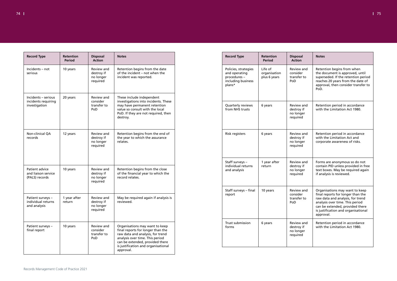| <b>Record Type</b>                                          | <b>Retention</b><br><b>Period</b> | <b>Disposal</b><br><b>Action</b>                         | <b>Notes</b>                                                                                                                                                                                                                      |
|-------------------------------------------------------------|-----------------------------------|----------------------------------------------------------|-----------------------------------------------------------------------------------------------------------------------------------------------------------------------------------------------------------------------------------|
| Incidents - not<br>serious                                  | 10 years                          | Review and<br>destroy if<br>no longer<br>required        | Retention begins from the date<br>of the incident - not when the<br>incident was reported.                                                                                                                                        |
| Incidents - serious<br>incidents requiring<br>investigation | 20 years                          | Review and<br>consider<br>transfer to<br>PoD             | These include independent<br>investigations into incidents. These<br>may have permanent retention<br>value so consult with the local<br>PoD. If they are not required, then<br>destroy.                                           |
| Non-clinical QA<br>records                                  | 12 years                          | <b>Review and</b><br>destroy if<br>no longer<br>required | Retention begins from the end of<br>the year to which the assurance<br>relates.                                                                                                                                                   |
| Patient advice<br>and liaison service<br>(PALS) records     | 10 years                          | Review and<br>destroy if<br>no longer<br>required        | Retention begins from the close<br>of the financial year to which the<br>record relates.                                                                                                                                          |
| Patient surveys -<br>individual returns<br>and analysis     | 1 year after<br>return            | Review and<br>destroy if<br>no longer<br>required        | May be required again if analysis is<br>reviewed.                                                                                                                                                                                 |
| Patient surveys -<br>final report                           | 10 years                          | Review and<br>consider<br>transfer to<br>PoD             | Organisations may want to keep<br>final reports for longer than the<br>raw data and analysis, for trend<br>analysis over time. This period<br>can be extended, provided there<br>is justification and organisational<br>approval. |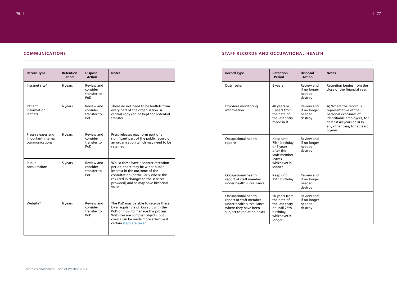# **COMMUNICATIONS**

| <b>Record Type</b>                                         | <b>Retention</b><br><b>Period</b> | <b>Disposal</b><br><b>Action</b>             | <b>Notes</b>                                                                                                                                                                                                                                   |
|------------------------------------------------------------|-----------------------------------|----------------------------------------------|------------------------------------------------------------------------------------------------------------------------------------------------------------------------------------------------------------------------------------------------|
| Intranet site*                                             | 6 years                           | Review and<br>consider<br>transfer to<br>PoD |                                                                                                                                                                                                                                                |
| Patient<br>information<br>leaflets                         | 6 years                           | Review and<br>consider<br>transfer to<br>PoD | These do not need to be leaflets from<br>every part of the organisation. A<br>central copy can be kept for potential<br>transfer.                                                                                                              |
| Press releases and<br>important internal<br>communications | 6 years                           | Review and<br>consider<br>transfer to<br>PoD | Press releases may form part of a<br>significant part of the public record of<br>an organisation which may need to be<br>retained.                                                                                                             |
| Public<br>consultations                                    | 5 years                           | Review and<br>consider<br>transfer to<br>PoD | Whilst these have a shorter retention<br>period, there may be wider public<br>interest in the outcome of the<br>consultation (particularly where this<br>resulted in changes to the services<br>provided) and so may have historical<br>value. |
| Website*                                                   | 6 years                           | Review and<br>consider<br>transfer to<br>PoD | The PoD may be able to receive these<br>by a regular crawl. Consult with the<br>PoD on how to manage the process.<br>Websites are complex objects, but<br>crawls can be made more effective if<br>certain steps are taken.                     |

# **STAFF RECORDS AND OCCUPATIONAL HEALTH**

| <b>Record Type</b>                                                                                                                      | <b>Retention</b><br><b>Period</b>                                                                                 | <b>Disposal</b><br><b>Action</b>                       | <b>Notes</b>                                                                                                                                                                      |
|-----------------------------------------------------------------------------------------------------------------------------------------|-------------------------------------------------------------------------------------------------------------------|--------------------------------------------------------|-----------------------------------------------------------------------------------------------------------------------------------------------------------------------------------|
| Duty roster                                                                                                                             | 6 years                                                                                                           | Review and<br>if no longer<br>needed<br>destroy        | Retention begins from the<br>close of the financial year.                                                                                                                         |
| <b>Exposure monitoring</b><br>information                                                                                               | 40 years or<br>5 years from<br>the date of<br>the last entry<br>made in it                                        | Review and<br>if no longer<br>needed<br>destroy        | A) Where the record is<br>representative of the<br>personal exposures of<br>identifiable employees, for<br>at least 40 years or B) In<br>any other case, for at least<br>5 years. |
| Occupational health<br>reports                                                                                                          | Keep until<br>75th birthday<br>or 6 years<br>after the<br>staff member<br><b>leaves</b><br>whichever is<br>sooner | <b>Review and</b><br>if no longer<br>needed<br>destroy |                                                                                                                                                                                   |
| <b>Occupational health</b><br>report of staff member<br>under health surveillance                                                       | Keep until<br>75th birthday                                                                                       | <b>Review and</b><br>if no longer<br>needed<br>destroy |                                                                                                                                                                                   |
| <b>Occupational health</b><br>report of staff member<br>under health surveillance<br>where they have been<br>subject to radiation doses | 50 years from<br>the date of<br>the last entry<br>or until 75th<br>birthday,<br>whichever is<br>longer            | Review and<br>if no longer<br>needed<br>destroy        |                                                                                                                                                                                   |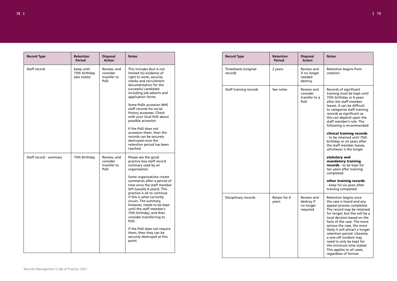| <b>Record Type</b>     | <b>Retention</b><br><b>Period</b>          | <b>Disposal</b><br><b>Action</b>              | <b>Notes</b>                                                                                                                                                                                                                                                                                                                                                                                                                                                                                                                               | <b>Record Type</b>              | <b>Retention</b><br>Period | <b>Disposal</b><br><b>Action</b>                  |
|------------------------|--------------------------------------------|-----------------------------------------------|--------------------------------------------------------------------------------------------------------------------------------------------------------------------------------------------------------------------------------------------------------------------------------------------------------------------------------------------------------------------------------------------------------------------------------------------------------------------------------------------------------------------------------------------|---------------------------------|----------------------------|---------------------------------------------------|
| Staff record           | Keep until<br>75th birthday<br>(see notes) | Review, and<br>consider<br>transfer to<br>PoD | This includes (but is not<br>limited to) evidence of<br>right to work, security<br>checks and recruitment<br>documentation for the                                                                                                                                                                                                                                                                                                                                                                                                         | Timesheets (original<br>record) | 2 years                    | Review and<br>if no longer<br>needed<br>destroy   |
|                        |                                            |                                               | successful candidate<br>including job adverts and<br>application forms.<br>Some PoDs accession NHS<br>staff records for social<br>history purposes. Check<br>with your local PoD about<br>possible accession.<br>If the PoD does not<br>accession them, then the<br>records can be securely<br>destroyed once the<br>retention period has been                                                                                                                                                                                             | Staff training records          | See notes                  | Review and<br>consider<br>transfer to a<br>PoD    |
| Staff record - summary | 75th Birthday                              | Review, and<br>consider<br>transfer to<br>PoD | reached.<br>Please see the good<br>practice box staff record<br>summary used by an<br>organisation.<br>Some organisations create<br>summaries after a period of<br>time since the staff member<br>left (usually 6 years). This<br>practice is ok to continue<br>if this is what currently<br>occurs. The summary,<br>however, needs to be kept<br>until the staff member's<br>75th birthday, and then<br>consider transferring to<br>PoD.<br>If the PoD does not require<br>them, then they can be<br>securely destroyed at this<br>point. | Disciplinary records            | Retain for 6<br>years      | Review and<br>destroy if<br>no longer<br>required |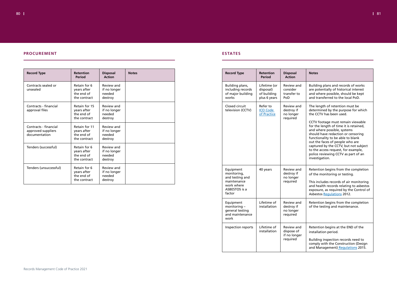80 81

# **PROCUREMENT**

| <b>Record Type</b>                                           | <b>Retention</b><br><b>Period</b>                          | <b>Disposal</b><br><b>Action</b>                | <b>Notes</b> |
|--------------------------------------------------------------|------------------------------------------------------------|-------------------------------------------------|--------------|
| Contracts sealed or<br>unsealed                              | Retain for 6<br>years after<br>the end of<br>the contract  | Review and<br>if no longer<br>needed<br>destroy |              |
| Contracts - financial<br>approval files                      | Retain for 15<br>years after<br>the end of<br>the contract | Review and<br>if no longer<br>needed<br>destroy |              |
| Contracts - financial<br>approved suppliers<br>documentation | Retain for 11<br>years after<br>the end of<br>the contract | Review and<br>if no longer<br>needed<br>destroy |              |
| Tenders (successful)                                         | Retain for 6<br>years after<br>the end of<br>the contract  | Review and<br>if no longer<br>needed<br>destroy |              |
| Tenders (unsuccessful)                                       | Retain for 6<br>years after<br>the end of<br>the contract  | Review and<br>if no longer<br>needed<br>destroy |              |

# **ESTATES**

| <b>Record Type</b>                                                                                  | <b>Retention</b><br><b>Period</b>                        | <b>Disposal</b><br><b>Action</b>                     |
|-----------------------------------------------------------------------------------------------------|----------------------------------------------------------|------------------------------------------------------|
| Building plans,<br>including records<br>of major building<br>works                                  | Lifetime (or<br>disposal)<br>of building<br>plus 6 years | Review and<br>consider<br>transfer to<br>PoD         |
| Closed circuit<br>television (CCTV)                                                                 | Refer to<br><b>ICO Code</b><br>of Practice               | Review and<br>destroy if<br>no longer<br>required    |
| Equipment<br>monitoring,<br>and testing and<br>maintenance<br>work where<br>ASBESTOS is a<br>factor | 40 years                                                 | Review and<br>destroy if<br>no longer<br>required    |
| Equipment<br>monitoring -<br>general testing<br>and maintenance<br>work                             | Lifetime of<br>installation                              | Review and<br>destroy if<br>no longer<br>required    |
| Inspection reports                                                                                  | Lifetime of<br>installation                              | Review and<br>dispose of<br>if no longer<br>required |

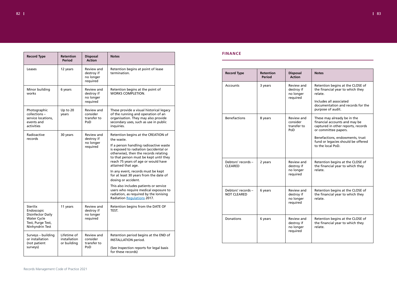| <b>Record Type</b>                                                                                                      | <b>Retention</b><br><b>Period</b>          | <b>Disposal</b><br><b>Action</b>                  | <b>Notes</b>                                                                                                                                                                                                                                                                                                                                                                                                                                                                                                                                             |
|-------------------------------------------------------------------------------------------------------------------------|--------------------------------------------|---------------------------------------------------|----------------------------------------------------------------------------------------------------------------------------------------------------------------------------------------------------------------------------------------------------------------------------------------------------------------------------------------------------------------------------------------------------------------------------------------------------------------------------------------------------------------------------------------------------------|
| Leases                                                                                                                  | 12 years                                   | Review and<br>destroy if<br>no longer<br>required | Retention begins at point of lease<br>termination.                                                                                                                                                                                                                                                                                                                                                                                                                                                                                                       |
| Minor building<br>works                                                                                                 | 6 years                                    | Review and<br>destroy if<br>no longer<br>required | Retention begins at the point of<br><b>WORKS COMPLETION.</b>                                                                                                                                                                                                                                                                                                                                                                                                                                                                                             |
| Photographic<br>collections -<br>service locations,<br>events and<br>activities                                         | Up to 20<br>years                          | Review and<br>consider<br>transfer to<br>PoD      | These provide a visual historical legacy<br>of the running and operation of an<br>organisation. They may also provide<br>secondary uses, such as use in public<br>inquiries.                                                                                                                                                                                                                                                                                                                                                                             |
| Radioactive<br>records                                                                                                  | 30 years                                   | Review and<br>destroy if<br>no longer<br>required | Retention begins at the CREATION of<br>the waste.<br>If a person handling radioactive waste<br>is exposed to radiation (accidental or<br>otherwise), then the records relating<br>to that person must be kept until they<br>reach 75 years of age or would have<br>attained that age.<br>In any event, records must be kept<br>for at least 30 years from the date of<br>dosing or accident.<br>This also includes patients or service<br>users who require medical exposure to<br>radiation, as required by the lonising<br>Radiation Regulations 2017. |
| <b>Sterilix</b><br>Endoscopic<br><b>Disinfector Daily</b><br><b>Water Cycle</b><br>Test, Purge Test,<br>Ninhyndrin Test | 11 years                                   | Review and<br>destroy if<br>no longer<br>required | Retention begins from the DATE OF<br>TEST.                                                                                                                                                                                                                                                                                                                                                                                                                                                                                                               |
| Surveys - building<br>or installation<br>(not patient<br>surveys)                                                       | Lifetime of<br>installation<br>or building | Review and<br>consider<br>transfer to<br>PoD      | Retention period begins at the END of<br><b>INSTALLATION period.</b><br>(See Inspection reports for legal basis<br>for these records)                                                                                                                                                                                                                                                                                                                                                                                                                    |

# **FINANCE**

| <b>Record Type</b>                       | <b>Retention</b><br><b>Period</b> | <b>Disposal</b><br><b>Action</b>                  | <b>Notes</b>                                                                                                               |
|------------------------------------------|-----------------------------------|---------------------------------------------------|----------------------------------------------------------------------------------------------------------------------------|
| Accounts                                 | 3 years                           | Review and<br>destroy if<br>no longer<br>required | Retention begins at the CLOSE of<br>the financial year to which they<br>relate.                                            |
|                                          |                                   |                                                   | Includes all associated<br>documentation and records for the<br>purpose of audit.                                          |
| <b>Benefactions</b>                      | 8 years                           | Review and<br>consider<br>transfer to<br>PoD      | These may already be in the<br>financial accounts and may be<br>captured in other reports, records<br>or committee papers. |
|                                          |                                   |                                                   | Benefactions, endowments, trust<br>fund or legacies should be offered<br>to the local PoD.                                 |
| Debtors' records -<br><b>CLEARED</b>     | 2 years                           | Review and<br>destroy if<br>no longer<br>required | Retention begins at the CLOSE of<br>the financial year to which they<br>relate.                                            |
| Debtors' records -<br><b>NOT CLEARED</b> | 6 years                           | Review and<br>destroy if<br>no longer<br>required | Retention begins at the CLOSE of<br>the financial year to which they<br>relate.                                            |
| <b>Donations</b>                         | 6 years                           | Review and<br>destroy if<br>no longer<br>required | Retention begins at the CLOSE of<br>the financial year to which they<br>relate.                                            |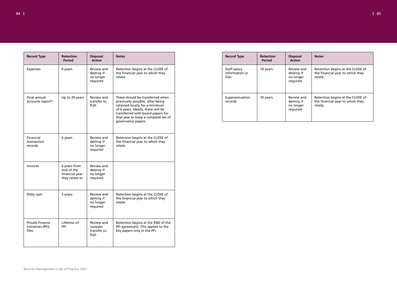

| <b>Record Type</b>                                   | <b>Retention</b><br><b>Period</b>                              | <b>Disposal</b><br><b>Action</b>                  | <b>Notes</b>                                                                                                                                                                                                                                    |
|------------------------------------------------------|----------------------------------------------------------------|---------------------------------------------------|-------------------------------------------------------------------------------------------------------------------------------------------------------------------------------------------------------------------------------------------------|
| <b>Expenses</b>                                      | 6 years                                                        | Review and<br>destroy if<br>no longer<br>required | Retention begins at the CLOSE of<br>the financial year to which they<br>relate.                                                                                                                                                                 |
| Final annual<br>accounts report*                     | Up to 20 years                                                 | Review and<br>transfer to<br>PoD                  | These should be transferred when<br>practically possible, after being<br>retained locally for a minimum<br>of 6 years. Ideally, these will be<br>transferred with board papers for<br>that year to keep a complete set of<br>governance papers. |
| Financial<br>transaction<br>records                  | 6 years                                                        | Review and<br>destroy if<br>no longer<br>required | Retention begins at the CLOSE of<br>the financial year to which they<br>relate.                                                                                                                                                                 |
| Invoices                                             | 6 years from<br>end of the<br>financial year<br>they relate to | Review and<br>destroy if<br>no longer<br>required |                                                                                                                                                                                                                                                 |
| Petty cash                                           | 2 years                                                        | Review and<br>destroy if<br>no longer<br>required | Retention begins at the CLOSE of<br>the financial year to which they<br>relate.                                                                                                                                                                 |
| <b>Private Finance</b><br>Initiatives (PFI)<br>files | Lifetime of<br>PFI                                             | Review and<br>consider<br>transfer to<br>PoD      | Retention begins at the END of the<br>PFI agreement. This applies to the<br>key papers only in the PFI.                                                                                                                                         |

| <b>Record Type</b>                      | <b>Retention</b><br><b>Period</b> | <b>Disposal</b><br><b>Action</b>                  | <b>Notes</b>                                                                    |
|-----------------------------------------|-----------------------------------|---------------------------------------------------|---------------------------------------------------------------------------------|
| Staff salary<br>information or<br>files | 10 years                          | Review and<br>destroy if<br>no longer<br>required | Retention begins at the CLOSE of<br>the financial year to which they<br>relate. |
| Superannuation<br>records               | 10 years                          | Review and<br>destroy if<br>no longer<br>required | Retention begins at the CLOSE of<br>the financial year to which they<br>relate. |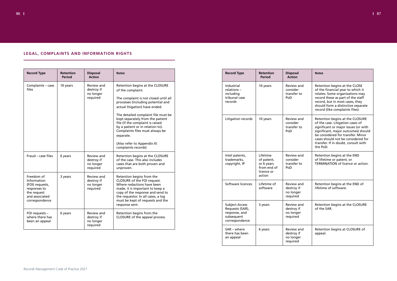| LEGAL, COMPLAINTS AND INFORMATION RIGHTS |  |  |
|------------------------------------------|--|--|
|------------------------------------------|--|--|

| <b>Record Type</b>                                  | <b>Retention</b><br><b>Period</b> | <b>Disposal</b><br><b>Action</b>                  | <b>Notes</b>                                                                                                                                                                                                                                           | <b>Record Type</b>                                                                        | <b>Retention</b><br><b>Period</b>                                 | <b>Disposal</b><br><b>Action</b>                  |
|-----------------------------------------------------|-----------------------------------|---------------------------------------------------|--------------------------------------------------------------------------------------------------------------------------------------------------------------------------------------------------------------------------------------------------------|-------------------------------------------------------------------------------------------|-------------------------------------------------------------------|---------------------------------------------------|
|                                                     | 10 years                          | Review and<br>destroy if<br>no longer<br>required | Retention begins at the CLOSURE<br>of the complaint.<br>The complaint is not closed until all<br>processes (including potential and<br>actual litigation) have ended.                                                                                  | Industrial<br>relations-<br>including<br>tribunal case<br>records                         | 10 years                                                          | Review and<br>consider<br>transfer to<br>PoD      |
|                                                     |                                   |                                                   | The detailed complaint file must be<br>kept separately from the patient<br>file (if the complaint is raised<br>by a patient or in relation to).<br>Complaints files must always be<br>separate.<br>(Also refer to Appendix III:<br>complaints records) | Litigation records                                                                        | 10 years                                                          | Review and<br>consider<br>transfer to<br>PoD      |
| Fraud - case files                                  | 6 years                           | Review and<br>destroy if<br>no longer<br>required | Retention begins at the CLOSURE<br>of the case. This also includes<br>cases that are both proven and<br>unproven.                                                                                                                                      | Intel patents,<br>trademarks,<br>copyright, IP                                            | Lifetime<br>of patent,<br>or 6 years<br>from end of<br>licence or | Review and<br>consider<br>transfer to<br>PoD      |
| (FOI) requests,<br>and associated<br>correspondence | 3 years                           | Review and<br>destroy if<br>no longer<br>required | Retention begins from the<br>CLOSURE of the FOI request.<br>Where redactions have been<br>made, it is important to keep a<br>copy of the response and send to<br>the requestor. In all cases, a log<br>must be kept of requests and the                | Software licences                                                                         | action<br>Lifetime of<br>software                                 | Review and<br>destroy if<br>no longer<br>required |
|                                                     | 6 years                           | Review and<br>destroy if<br>no longer             | response sent.<br>Retention begins from the<br>CLOSURE of the appeal process.                                                                                                                                                                          | <b>Subject Access</b><br>Requests (SAR),<br>response, and<br>subsequent<br>correspondence | 3 years                                                           | Review and<br>destroy if<br>no longer<br>required |
|                                                     |                                   | required                                          |                                                                                                                                                                                                                                                        | SAR – where<br>there has been<br>an appeal                                                | 6 years                                                           | Review and<br>destroy if<br>no longer<br>required |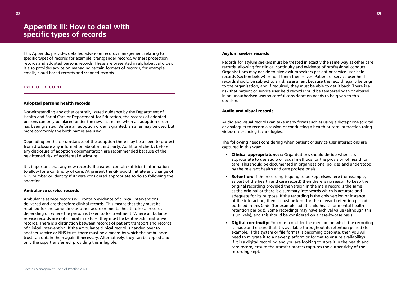This Appendix provides detailed advice on records management relating to specific types of records for example, transgender records, witness protection records and adopted persons records. These are presented in alphabetical order. It also provides advice on managing certain formats of records, for example, emails, cloud-based records and scanned records.

# **TYPE OF RECORD**

# Adopted persons health records

Notwithstanding any other centrally issued guidance by the Department of Health and Social Care or Department for Education, the records of adopted persons can only be placed under the new last name when an adoption order has been granted. Before an adoption order is granted, an alias may be used but more commonly the birth names are used.

Depending on the circumstances of the adoption there may be a need to protect from disclosure any information about a third party. Additional checks before any disclosure of adoption documentation are recommended because of the heightened risk of accidental disclosure.

It is important that any new records, if created, contain sufficient information to allow for a continuity of care. At present the GP would initiate any change of NHS number or identity if it were considered appropriate to do so following the adoption.

### Ambulance service records

Ambulance service records will contain evidence of clinical interventions delivered and are therefore clinical records. This means that they must be retained for the same time as other acute or mental health clinical records depending on where the person is taken to for treatment. Where ambulance service records are not clinical in nature, they must be kept as administrative records. There is a distinction between records of patient transport and records of clinical intervention. If the ambulance clinical record is handed over to another service or NHS trust, there must be a means by which the ambulance trust can obtain them again if necessary. Alternatively, they can be copied and only the copy transferred, providing this is legible.

#### Asylum seeker records

- Clinical appropriateness: Organisations should decide when it is by the relevant health and care professionals.
- **Retention:** If the recording is going to be kept elsewhere (for example, original recording provided the version in the main record is the same as the original or there is a summary into words which is accurate and adequate for its purpose. If the recording is the only version or instance of the interaction, then it must be kept for the relevant retention period outlined in this Code (for example, adult, child health or mental health is unlikely), and this should be considered on a case-by-case basis.
- Digital continuity: You must consider the medium on which the recording example, if the system or file format is becoming obsolete, then you will need to migrate it to a newer platform or format to ensure availability). If it is a digital recording and you are looking to store it in the health and care record, ensure the transfer process captures the authenticity of the recording kept.

Records for asylum seekers must be treated in exactly the same way as other care records, allowing for clinical continuity and evidence of professional conduct. Organisations may decide to give asylum seekers patient or service user held records (section below) or hold them themselves. Patient or service user held records should be subject to a risk assessment because the record legally belongs to the organisation, and if required, they must be able to get it back. There is a risk that patient or service user held records could be tampered with or altered in an unauthorised way so careful consideration needs to be given to this decision.

### Audio and visual records

Audio and visual records can take many forms such as using a dictaphone (digital or analogue) to record a session or conducting a health or care interaction using videoconferencing technologies.

The following needs considering when patient or service user interactions are captured in this way:

appropriate to use audio or visual methods for the provision of health or care. This should be documented in organisational policies and understood

as part of the health and care record) then there is no reason to keep the retention periods). Some recordings may have archival value (although this

is made and ensure that it is available throughout its retention period (for

# <span id="page-44-0"></span>**Appendix III: How to deal with specific types of records**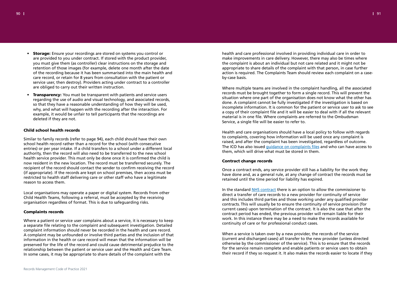- Storage: Ensure your recordings are stored on systems you control or are provided to you under contract. If stored with the product provider, you must give them (as controller) clear instructions on the storage and retention of those images (for example, delete one month after the date of the recording because it has been summarised into the main health and care record, or retain for 8 years from consultation with the patient or service user, then destroy). Providers acting under contract to a controller are obliged to carry out their written instruction.
- Transparency: You must be transparent with patients and service users regarding the use of audio and visual technology, and associated records, so that they have a reasonable understanding of how they will be used, why, and what will happen with the recording after the interaction. For example, it would be unfair to tell participants that the recordings are deleted if they are not.

# Child school health records

Similar to family records (refer to page 94), each child should have their own school health record rather than a record for the school (with consecutive entries) or per year intake. If a child transfers to a school under a different local authority, then the record will also need to be transferred to the new school health service provider. This must only be done once it is confirmed the child is now resident in the new location. The record must be transferred securely. The recipient of the record should contact the sender to confirm receiving the record (if appropriate). If the records are kept on school premises, then access must be restricted to health staff delivering care or other staff who have a legitimate reason to access them.

Local organisations may operate a paper or digital system. Records from other Child Health Teams, following a referral, must be accepted by the receiving organisation regardless of format. This is due to safeguarding risks.

# Complaints records

Where a patient or service user complains about a service, it is necessary to keep a separate file relating to the complaint and subsequent investigation. Detailed complaint information should never be recorded in the health and care record. A complaint may be unfounded or involve third parties and the inclusion of that information in the health or care record will mean that the information will be preserved for the life of the record and could cause detrimental prejudice to the relationship between the patient or service user and the Health and Care Team. In some cases, it may be appropriate to share details of the complaint with the

health and care professional involved in providing individual care in order to make improvements in care delivery. However, there may also be times where the complaint is about an individual but not care related and it might not be appropriate to share details of the complaint with that person, in case further action is required. The Complaints Team should review each complaint on a caseby-case basis.

Where multiple teams are involved in the complaint handling, all the associated records must be brought together to form a single record. This will prevent the situation where one part of the organisation does not know what the other has done. A complaint cannot be fully investigated if the investigation is based on incomplete information. It is common for the patient or service user to ask to see a copy of their complaint file and it will be easier to deal with if all the relevant material is in one file. Where complaints are referred to the Ombudsman Service, a single file will be easier to refer to.

Health and care organisations should have a local policy to follow with regards to complaints, covering how information will be used once any complaint is raised, and after the complaint has been investigated, regardless of outcome. The ICO has also issued quidance on complaints files and who can have access to them, which will drive what must be stored in them.

# Contract change records

Once a contract ends, any service provider still has a liability for the work they have done and, as a general rule, at any change of contract the records must be retained until the time period for liability has expired.

In the standard NHS contract there is an option to allow the commissioner to direct a transfer of care records to a new provider for continuity of service and this includes third parties and those working under any qualified provider contracts. This will usually be to ensure the continuity of service provision (for current cases) upon termination of the contract. It is also the case that after the contract period has ended, the previous provider will remain liable for their work. In this instance there may be a need to make the records available for continuity of care or for professional conduct cases.

When a service is taken over by a new provider, the records of the service (current and discharged cases) all transfer to the new provider (unless directed otherwise by the commissioner of the service). This is to ensure that the records for the service remain complete and enable patients or service users to obtain their record if they so request it. It also makes the records easier to locate if they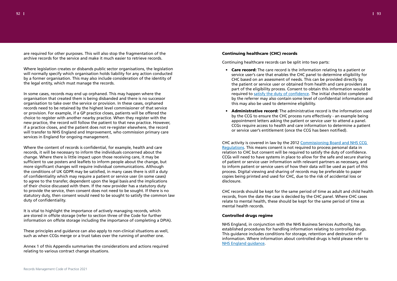are required for other purposes. This will also stop the fragmentation of the archive records for the service and make it much easier to retrieve records.

Where legislation creates or disbands public sector organisations, the legislation will normally specify which organisation holds liability for any action conducted by a former organisation. This may also include consideration of the identity of the legal entity, which must manage the records.

In some cases, records may end up orphaned. This may happen where the organisation that created them is being disbanded and there is no successor organisation to take over the service or provision. In these cases, orphaned records need to be retained by the highest level commissioner of that service or provision. For example, if a GP practice closes, patients will be offered the choice to register with another nearby practice. When they register with the new practice, the record will follow the patient to that new practice. However, if a practice closes, and the patient does not re-register elsewhere, the record will transfer to NHS England and Improvement, who commission primary care services in England for ongoing management.

Where the content of records is confidential, for example, health and care records, it will be necessary to inform the individuals concerned about the change. Where there is little impact upon those receiving care, it may be sufficient to use posters and leaflets to inform people about the change, but more significant changes will require individual communications. Although the conditions of UK GDPR may be satisfied, in many cases there is still a duty of confidentiality which may require a patient or service user (in some cases) to agree to the transfer, dependent upon the legal basis and the implications of their choice discussed with them. If the new provider has a statutory duty to provide the service, then consent does not need to be sought. If there is no statutory duty, then consent would need to be sought to satisfy the common law duty of confidentiality.

- Care record: The care record is the information relating to a patient or service user's care that enables the CHC panel to determine eligibility for CHC based on an assessment of needs. This can be provided directly by the patient or service user or obtained from health and care providers as required to satisfy the duty of confidence. The initial checklist completed this may also be used to determine eligibility.
- **Administrative record:** The administrative record is the information used appointment letters asking the patient or service user to attend a panel. or service user's entitlement (once the CCG has been notified).

It is vital to highlight the importance of actively managing records, which are stored in offsite storage (refer to section three of the Code for further information on offsite storage including the importance of completing a DPIA).

These principles and guidance can also apply to non-clinical situations as well, such as when CCGs merge or a trust takes over the running of another one.

Annex 1 of this Appendix summarises the considerations and actions required relating to various contract change situations.

# Continuing healthcare (CHC) records

Continuing healthcare records can be split into two parts:

part of the eligibility process. Consent to obtain this information would be by the referrer may also contain some level of confidential information and

by the CCG to ensure the CHC process runs effectively - an example being CCGs require access to health and care information to determine a patient

CHC activity is covered in law by the 2012 Commissioning Board and NHS CCG Regulations. This means consent is not required to process personal data in relation to CHC but consent will be required to satisfy the duty of confidence. CCGs will need to have systems in place to allow for the safe and secure sharing of patient or service user information with relevant partners as necessary, and to inform patient or service users of how their data will be used as part of this process. Digital viewing and sharing of records may be preferable to paper copies being printed and used for CHC, due to the risk of accidental loss or disclosure.

CHC records should be kept for the same period of time as adult and child health records, from the date the case is decided by the CHC panel. Where CHC cases relate to mental health, these should be kept for the same period of time as mental health records.

## Controlled drugs regime

NHS England, in conjunction with the NHS Business Services Authority, has established procedures for handling information relating to controlled drugs. This guidance includes conditions for storage, retention and destruction of information. Where information about controlled drugs is held please refer to NHS England guidance.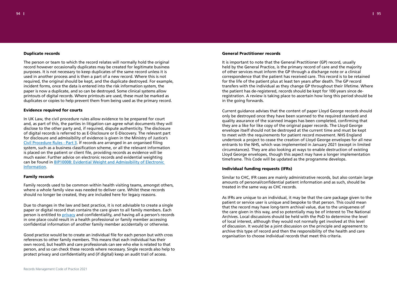# Duplicate records

The person or team to which the record relates will normally hold the original record however occasionally duplicates may be created for legitimate business purposes. It is not necessary to keep duplicates of the same record unless it is used in another process and is then a part of a new record. Where this is not required, the original should be kept, and the duplicate destroyed. For example, incident forms, once the data is entered into the risk information system, the paper is now a duplicate, and so can be destroyed. Some clinical systems allow printouts of digital records. Where printouts are used, these must be marked as duplicates or copies to help prevent them from being used as the primary record.

# Evidence required for courts

In UK Law, the civil procedure rules allow evidence to be prepared for court and, as part of this, the parties in litigation can agree what documents they will disclose to the other party and, if required, dispute authenticity. The disclosure of digital records is referred to as E-Disclosure or E-Discovery. The relevant part for disclosure and admissibility of evidence is given in the Ministry of Justice's Civil Procedure Rules - Part 3. If records are arranged in an organised filing system, such as a business classification scheme, or all the relevant information is placed on the patient or client file, providing records as evidence will be much easier. Further advice on electronic records and evidential weighting can be found in BIP10008: Evidential Weight and Admissibility of Electronic Information.

# Family records

Family records used to be common within health visiting teams, amongst others, where a whole family view was needed to deliver care. Whilst these records should no longer be created, they are included here for legacy reasons.

Due to changes in the law and best practice, it is not advisable to create a single paper or digital record that contains the care given to all family members. Each person is entitled to privacy and confidentiality, and having all a person's records in one place could result in a health professional or family member accessing confidential information of another family member accidentally or otherwise.

Good practice would be to create an individual file for each person but with cross references to other family members. This means that each individual has their own record, but health and care professionals can see who else is related to that person, and so can check these records where necessary. Single records also help to protect privacy and confidentiality and (if digital) keep an audit trail of access.

# General Practitioner records

It is important to note that the General Practitioner (GP) record, usually held by the General Practice, is the primary record of care and the majority of other services must inform the GP through a discharge note or a clinical correspondence that the patient has received care. This record is to be retained for the life of the patient plus at least ten years after death. The GP record transfers with the individual as they change GP throughout their lifetime. Where the patient has de-registered, records should be kept for 100 years since deregistration. A review is taking place to ascertain how long this period should be in the going forwards.

Current guidance advises that the content of paper Lloyd George records should only be destroyed once they have been scanned to the required standard and quality assurance of the scanned images has been completed, confirming that they are a like for like copy of the original paper records. The Lloyd George envelope itself should not be destroyed at the current time and must be kept to meet with the requirements for patient record movement. NHS England undertook a project to cease the creation of Lloyd George envelopes for all new entrants to the NHS, which was implemented in January 2021 (except in limited circumstances). They are also looking at ways to enable destruction of existing Lloyd George envelopes, though this aspect may have a longer implementation timeframe. This Code will be updated as the programme develops.

# Individual funding requests (IFRs)

Similar to CHC, IFR cases are mainly administrative records, but also contain large amounts of personal/confidential patient information and as such, should be treated in the same way as CHC records.

As IFRs are unique to an individual, it may be that the care package given to the patient or service user is unique and bespoke to that person. This could mean that the record may have long-term archival value, due to the uniqueness of the care given in this way, and so potentially may be of interest to The National Archives. Local discussions should be held with the PoD to determine the level of local interest, although they would not normally get involved at this level of discussion. It would be a joint discussion on the principle and agreement to archive this type of record and then the responsibility of the health and care organisation to choose individual records that meet this criteria.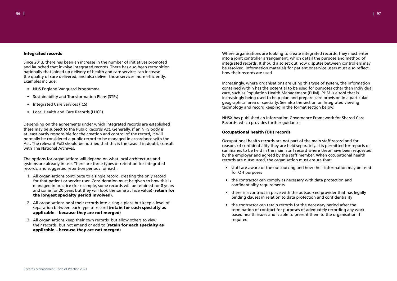# Integrated records

Since 2013, there has been an increase in the number of initiatives promoted and launched that involve integrated records. There has also been recognition nationally that joined up delivery of health and care services can increase the quality of care delivered, and also deliver those services more efficiently. Examples include:

- NHS England Vanguard Programme
- Sustainability and Transformation Plans (STPs)
- Integrated Care Services (ICS)
- Local Health and Care Records (LHCR)

Depending on the agreements under which integrated records are established these may be subject to the Public Records Act. Generally, if an NHS body is at least partly responsible for the creation and control of the record, it will normally be considered a public record to be managed in accordance with the Act. The relevant PoD should be notified that this is the case. If in doubt, consult with The National Archives.

The options for organisations will depend on what local architecture and systems are already in use. There are three types of retention for integrated records, and suggested retention periods for each.

- 1. All organisations contribute to a single record, creating the only record for that patient or service user. Consideration must be given to how this is managed in practice (for example, some records will be retained for 8 years and some for 20 years but they will look the same at face value) (retain for the longest specialty period involved).
- 2. All organisations pool their records into a single place but keep a level of separation between each type of record (retain for each specialty as applicable – because they are not merged)
- 3. All organisations keep their own records, but allow others to view their records, but not amend or add to (retain for each specialty as applicable – because they are not merged)

Where organisations are looking to create integrated records, they must enter into a joint controller arrangement, which detail the purpose and method of integrated records. It should also set out how disputes between controllers may be resolved. Information materials for patient or service users must also reflect how their records are used.

Increasingly, where organisations are using this type of system, the information contained within has the potential to be used for purposes other than individual care, such as Population Health Management (PHM). PHM is a tool that is increasingly being used to help plan and prepare care provision in a particular geographical area or specialty. See also the section on Integrated viewing technology and record keeping in the format section below.

NHSX has published an Information Governance Framework for Shared Care Records, which provides further guidance.

# Occupational health (OH) records

Occupational health records are not part of the main staff record and for reasons of confidentiality they are held separately. It is permitted for reports or summaries to be held in the main staff record where these have been requested by the employer and agreed by the staff member. When occupational health records are outsourced, the organisation must ensure that:

- staff are aware of the outsourcing and how their information may be used for OH purposes
- the contractor can comply as necessary with data protection and confidentiality requirements
- there is a contract in place with the outsourced provider that has legally binding clauses in relation to data protection and confidentiality
- the contractor can retain records for the necessary period after the termination of contract for purposes of adequately recording any workbased health issues and is able to present them to the organisation if required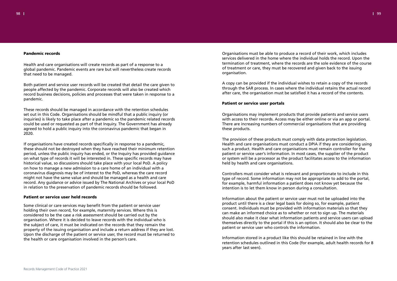Health and care organisations will create records as part of a response to a global pandemic. Pandemic events are rare but will nevertheless create records that need to be managed.

Both patient and service user records will be created that detail the care given to people affected by the pandemic. Corporate records will also be created which record business decisions, policies and processes that were taken in response to a pandemic.

These records should be managed in accordance with the retention schedules set out in this Code. Organisations should be mindful that a public inquiry (or inquiries) is likely to take place after a pandemic so the pandemic related records could be used or requested as part of that Inquiry. The Government has already agreed to hold a public inquiry into the coronavirus pandemic that began in 2020.

If organisations have created records specifically in response to a pandemic, these should not be destroyed when they have reached their minimum retention period, unless the public inquiry has ended, or the Inquiry has provided guidance on what type of records it will be interested in. These specific records may have historical value, so discussions should take place with your local PoD. A policy on how to manage a new admission to a care home of an individual with a coronavirus diagnosis may be of interest to the PoD, whereas the care record might not have the same value and should be managed as a health and care record. Any guidance or advice issued by The National Archives or your local PoD in relation to the preservation of pandemic records should be followed.

#### Patient or service user held records

Some clinical or care services may benefit from the patient or service user holding their own record, for example, maternity services. Where this is considered to be the case a risk assessment should be carried out by the organisation. Where it is decided to leave records with the individual who is the subject of care, it must be indicated on the records that they remain the property of the issuing organisation and include a return address if they are lost. Upon the discharge of the patient or service user, the record must be returned to the health or care organisation involved in the person's care.

Organisations must be able to produce a record of their work, which includes services delivered in the home where the individual holds the record. Upon the termination of treatment, where the records are the sole evidence of the course of treatment or care, they must be recovered and given back to the issuing organisation.

A copy can be provided if the individual wishes to retain a copy of the records through the SAR process. In cases where the individual retains the actual record after care, the organisation must be satisfied it has a record of the contents.

# Patient or service user portals

Organisations may implement products that provide patients and service users with access to their records. Access may be either online or via an app or portal. There are increasing numbers of commercial organisations that are providing these products.

The provision of these products must comply with data protection legislation. Health and care organisations must conduct a DPIA if they are considering using such a product. Health and care organisations must remain controller for the patient or service user's information. In most cases, the supplier of the product or system will be a processor as the product facilitates access to the information held by health and care organisations.

Controllers must consider what is relevant and proportionate to include in this type of record. Some information may not be appropriate to add to the portal, for example, harmful information a patient does not know yet because the intention is to let them know in person during a consultation.

Information about the patient or service user must not be uploaded into the product until there is a clear legal basis for doing so, for example, patient consent. Individuals must be provided with information materials so that they can make an informed choice as to whether or not to sign up. The materials should also make it clear what information patients and service users can upload themselves directly to the portal if this is an option. It should also be clear to the patient or service user who controls the information.

Information stored in a product like this should be retained in line with the retention schedules outlined in this Code (for example, adult health records for 8 years after last seen).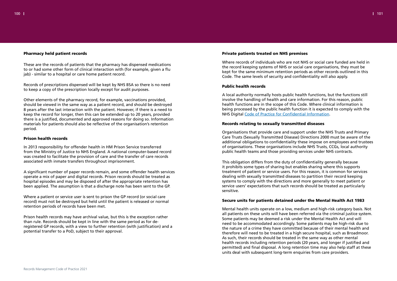#### $100$  later than  $1\,$   $101$

# Pharmacy held patient records

These are the records of patients that the pharmacy has dispensed medications to or had some other form of clinical interaction with (for example, given a flu jab) - similar to a hospital or care home patient record.

Records of prescriptions dispensed will be kept by NHS BSA so there is no need to keep a copy of the prescription locally except for audit purposes.

Other elements of the pharmacy record, for example, vaccinations provided, should be viewed in the same way as a patient record, and should be destroyed 8 years after the last interaction with the patient. However, if there is a need to keep the record for longer, then this can be extended up to 20 years, provided there is a justified, documented and approved reasons for doing so. Information materials for patients should also be reflective of the organisation's retention period.

# Prison health records

In 2013 responsibility for offender health in HM Prison Service transferred from the Ministry of Justice to NHS England. A national computer-based record was created to facilitate the provision of care and the transfer of care records associated with inmate transfers throughout imprisonment.

A significant number of paper records remain, and some offender health services operate a mix of paper and digital records. Prison records should be treated as hospital episodes and may be disposed of after the appropriate retention has been applied. The assumption is that a discharge note has been sent to the GP.

Where a patient or service user is sent to prison the GP record (or social care record) must not be destroyed but held until the patient is released or normal retention periods of records have been met.

Prison health records may have archival value, but this is the exception rather than rule. Records should be kept in line with the same period as for deregistered GP records, with a view to further retention (with justification) and a potential transfer to a PoD, subject to their approval.

# Private patients treated on NHS premises

Where records of individuals who are not NHS or social care funded are held in the record keeping systems of NHS or social care organisations, they must be kept for the same minimum retention periods as other records outlined in this Code. The same levels of security and confidentiality will also apply.

# Public health records

A local authority normally hosts public health functions, but the functions still involve the handling of health and care information. For this reason, public health functions are in the scope of this Code. Where clinical information is being processed by the public health function it is expected to comply with the NHS Digital Code of Practice for Confidential Information.

# Records relating to sexually transmitted diseases

Organisations that provide care and support under the NHS Trusts and Primary Care Trusts (Sexually Transmitted Disease) Directions 2000 must be aware of the additional obligations to confidentiality these impose on employees and trustees of organisations. These organisations include NHS Trusts, CCGs, local authority public health teams and those providing services under NHS contracts.

This obligation differs from the duty of confidentiality generally because it prohibits some types of sharing but enables sharing where this supports treatment of patient or service users. For this reason, it is common for services dealing with sexually transmitted diseases to partition their record keeping systems to comply with the directions and more generally to meet patient or service users' expectations that such records should be treated as particularly sensitive.

# Secure units for patients detained under the Mental Health Act 1983

Mental health units operate on a low, medium and high-risk category basis. Not all patients on these units will have been referred via the criminal justice system. Some patients may be deemed a risk under the Mental Health Act and will need to be accommodated accordingly. Some patients may be high-risk due to the nature of a crime they have committed because of their mental health and therefore will need to be treated in a high secure hospital, such as Broadmoor. As such, their records should be treated in the same way as other mental health records including retention periods (20 years, and longer if justified and permitted) and final disposal. A long retention time may also help staff at these units deal with subsequent long-term enquiries from care providers.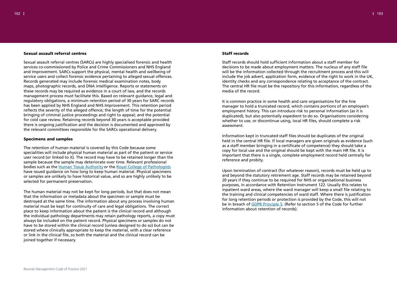

# Sexual assault referral centres

Sexual assault referral centres (SARCs) are highly specialised forensic and health services co-commissioned by Police and Crime Commissioners and NHS England and Improvement. SARCs support the physical, mental health and wellbeing of service users and collect forensic evidence pertaining to alleged sexual offences. Records generated may include forensic medical examination notes, body maps, photographic records, and DNA intelligence. Reports or statements on these records may be required as evidence in a court of law, and the records management process must facilitate this. Based on relevant guidance, legal and regulatory obligations, a minimum retention period of 30 years for SARC records has been applied by NHS England and NHS Improvement. This retention period reflects the severity of the alleged offence; the length of time for the potential bringing of criminal justice proceedings and right to appeal; and the potential for cold case review. Retaining records beyond 30 years is acceptable provided there is ongoing justification and the decision is documented and approved by the relevant committees responsible for the SARCs operational delivery.

#### Specimens and samples

The retention of human material is covered by this Code because some specialities will include physical human material as part of the patient or service user record (or linked to it). The record may have to be retained longer than the sample because the sample may deteriorate over time. Relevant professional bodies such as the Human Tissue Authority or the Royal College of Pathologists have issued guidance on how long to keep human material. Physical specimens or samples are unlikely to have historical value, and so are highly unlikely to be selected for permanent preservation.

The human material may not be kept for long periods, but that does not mean that the information or metadata about the specimen or sample must be destroyed at the same time. The information about any process involving human material must be kept for continuity of care and legal obligations. The correct place to keep information about the patient is the clinical record and although the individual pathology departments may retain pathology reports, a copy must always be included on the patient record. Physical specimens or samples do not have to be stored within the clinical record (unless designed to do so) but can be stored where clinically appropriate to keep the material, with a clear reference or link in the clinical file, so both the material and the clinical record can be joined together if necessary.

# Staff records

Staff records should hold sufficient information about a staff member for decisions to be made about employment matters. The nucleus of any staff file will be the information collected through the recruitment process and this will include the job advert, application form, evidence of the right to work in the UK, identity checks and any correspondence relating to acceptance of the contract. The central HR file must be the repository for this information, regardless of the media of the record.

It is common practice in some health and care organisations for the line manager to hold a truncated record, which contains portions of an employee's employment history. This can introduce risk to personal information (as it is duplicated), but also potentially expedient to do so. Organisations considering whether to use, or discontinue using, local HR files, should complete a risk assessment.

Information kept in truncated staff files should be duplicates of the original held in the central HR file. If local managers are given originals as evidence (such as a staff member bringing in a certificate of competence) they should take a copy for local use and the original should be kept with the main HR file. It is important that there is a single, complete employment record held centrally for reference and probity.

Upon termination of contract (for whatever reason), records must be held up to and beyond the statutory retirement age. Staff records may be retained beyond 20 years if they continue to be required for NHS or organisational business purposes, in accordance with Retention Instrument 122. Usually this relates to inpatient ward areas, where the ward manager will keep a small file relating to the training and clinical competencies of ward staff. Where there is justification for long retention periods or protection is provided by the Code, this will not be in breach of GDPR Principle 5. (Refer to section 5 of the Code for further information about retention of records).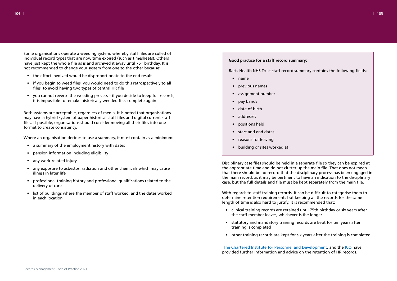Some organisations operate a weeding system, whereby staff files are culled of individual record types that are now time expired (such as timesheets). Others have just kept the whole file as is and archived it away until 75th birthday. It is not recommended to change your system from one to the other because:

- the effort involved would be disproportionate to the end result
- if you begin to weed files, you would need to do this retrospectively to all files, to avoid having two types of central HR file
- you cannot reverse the weeding process if you decide to keep full records, it is impossible to remake historically weeded files complete again

Both systems are acceptable, regardless of media. It is noted that organisations may have a hybrid system of paper historical staff files and digital current staff files. If possible, organisations should consider moving all their files into one format to create consistency.

Where an organisation decides to use a summary, it must contain as a minimum:

- a summary of the employment history with dates
- pension information including eligibility
- any work-related injury
- any exposure to asbestos, radiation and other chemicals which may cause illness in later life
- professional training history and professional qualifications related to the delivery of care
- list of buildings where the member of staff worked, and the dates worked in each location

# **Good practice for a staff record summary:**

Barts Health NHS Trust staff record summary contains the following fields:

- name
- previous names
- assignment number
- pay bands
- date of birth
- addresses
- positions held
- start and end dates
- reasons for leaving
- building or sites worked at

Disciplinary case files should be held in a separate file so they can be expired at the appropriate time and do not clutter up the main file. That does not mean that there should be no record that the disciplinary process has been engaged in the main record, as it may be pertinent to have an indication to the disciplinary case, but the full details and file must be kept separately from the main file.

With regards to staff training records, it can be difficult to categorise them to determine retention requirements but keeping all the records for the same length of time is also hard to justify. It is recommended that:

- clinical training records are retained until 75th birthday or six years after the staff member leaves, whichever is the longer
- statutory and mandatory training records are kept for ten years after training is completed
- other training records are kept for six years after the training is completed

The Chartered Institute for Personnel and Development, and the ICO have provided further information and advice on the retention of HR records.

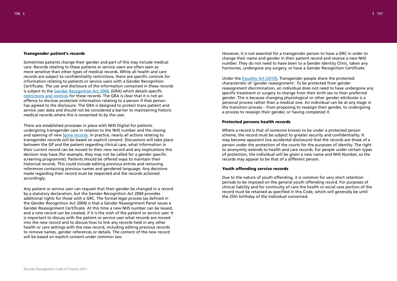

### Transgender patient's records

Sometimes patients change their gender and part of this may include medical care. Records relating to these patients or service users are often seen as more sensitive than other types of medical records. While all health and care records are subject to confidentiality restrictions, there are specific controls for information relating to patients or service users with a Gender Recognition Certificate. The use and disclosure of the information contained in these records is subject to the Gender Recognition Act 2004, (GRA) which details specific restrictions and controls for these records. The GRA is clear that it is not an offence to disclose protected information relating to a person if that person has agreed to the disclosure. The GRA is designed to protect trans patient and service user data and should not be considered a barrier to maintaining historic medical records where this is consented to by the user.

There are established processes in place with NHS Digital for patients undergoing transgender care in relation to the NHS number and the closing and opening of new Spine records. In practice, nearly all actions relating to transgender records will be based on explicit consent. Discussions will take place between the GP and the patient regarding clinical care, what information in their current record can be moved to their new record and any implications this decision may have (for example, they may not be called for a gender specific screening programme). Patients should be offered ways to maintain their historical records. This could include editing previous entries and removing references containing previous names and gendered language. Any decisions made regarding their record must be respected and the records actioned accordingly.

Any patient or service user can request that their gender be changed in a record by a statutory declaration, but the Gender Recognition Act 2004 provides additional rights for those with a GRC. The formal legal process (as defined in the Gender Recognition Act 2004) is that a Gender Reassignment Panel issues a Gender Reassignment Certificate. At this time a new NHS number can be issued, and a new record can be created, if it is the wish of the patient or service user. It is important to discuss with the patient or service user what records are moved into the new record and to discuss how to link any records held in any other health or care settings with the new record, including editing previous records to remove names, gender references or details. The content of the new record will be based on explicit consent under common law.

However, it is not essential for a transgender person to have a GRC in order to change their name and gender in their patient record and receive a new NHS number. They do not need to have been to a Gender Identity Clinic, taken any hormones, undergone any surgery, or have a Gender Recognition Certificate.

Under the Equality Act (2010), Transgender people share the protected characteristic of 'gender reassignment'. To be protected from gender reassignment discrimination, an individual does not need to have undergone any specific treatment or surgery to change from their birth sex to their preferred gender. This is because changing physiological or other gender attributes is a personal process rather than a medical one. An individual can be at any stage in the transition process – from proposing to reassign their gender, to undergoing a process to reassign their gender, or having completed it.

### Protected persons health records

Where a record is that of someone known to be under a protected person scheme, the record must be subject to greater security and confidentiality. It may become apparent (via accidental disclosure) that the records are those of a person under the protection of the courts for the purposes of identity. The right to anonymity extends to health and care records. For people under certain types of protection, the individual will be given a new name and NHS Number, so the records may appear to be that of a different person.

### Youth offending service records

Due to the nature of youth offending, it is common for very short retention periods to be imposed on the general youth offending record. For purposes of clinical liability and for continuity of care the health or social care portion of the record must be retained as specified in this Code, which will generally be until the 25th birthday of the individual concerned.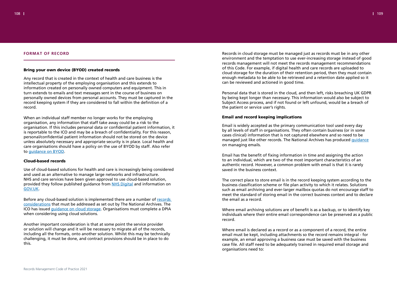

# **FORMAT OF RECORD**

# Bring your own device (BYOD) created records

Any record that is created in the context of health and care business is the intellectual property of the employing organisation and this extends to information created on personally owned computers and equipment. This in turn extends to emails and text messages sent in the course of business on personally owned devices from personal accounts. They must be captured in the record keeping system if they are considered to fall within the definition of a record.

When an individual staff member no longer works for the employing organisation, any information that staff take away could be a risk to the organisation. If this includes personal data or confidential patient information, it is reportable to the ICO and may be a breach of confidentiality. For this reason, personal/confidential patient information should not be stored on the device unless absolutely necessary and appropriate security is in place. Local health and care organisations should have a policy on the use of BYOD by staff. Also refer to guidance on BYOD.

Before any cloud-based solution is implemented there are a number of records considerations that must be addressed as set out by The National Archives. The ICO has issued guidance on cloud storage. Organisations must complete a DPIA when considering using cloud solutions.

### Cloud-based records

Use of cloud-based solutions for health and care is increasingly being considered and used as an alternative to manage large networks and infrastructure. NHS and care services have been given approval to use cloud-based solution, provided they follow published guidance from NHS Digital and information on GOV.UK.

Another important consideration is that at some point the service provider or solution will change and it will be necessary to migrate all of the records, including all the formats, onto another solution. Whilst this may be technically challenging, it must be done, and contract provisions should be in place to do this.

Records in cloud storage must be managed just as records must be in any other environment and the temptation to use ever-increasing storage instead of good records management will not meet the records management recommendations of this Code. For example, if digital health and care records are uploaded to cloud storage for the duration of their retention period, then they must contain enough metadata to be able to be retrieved and a retention date applied so it can be reviewed and actioned in good time.

Personal data that is stored in the cloud, and then left, risks breaching UK GDPR by being kept longer than necessary. This information would also be subject to Subject Access process, and if not found or left unfound, would be a breach of the patient or service user's rights.

# Email and record keeping implications

Email is widely accepted as the primary communication tool used every day by all levels of staff in organisations. They often contain business (or in some cases clinical) information that is not captured elsewhere and so need to be managed just like other records. The National Archives has produced guidance on managing emails.

Email has the benefit of fixing information in time and assigning the action to an individual, which are two of the most important characteristics of an authentic record. However, a common problem with email is that it is rarely saved in the business context.

The correct place to store email is in the record keeping system according to the business classification scheme or file plan activity to which it relates. Solutions such as email archiving and ever-larger mailbox quotas do not encourage staff to meet the standard of storing email in the correct business context and to declare the email as a record.

Where email archiving solutions are of benefit is as a backup, or to identify key individuals where their entire email correspondence can be preserved as a public record.

Where email is declared as a record or as a component of a record, the entire email must be kept, including attachments so the record remains integral - for example, an email approving a business case must be saved with the business case file. All staff need to be adequately trained in required email storage and organisations need to: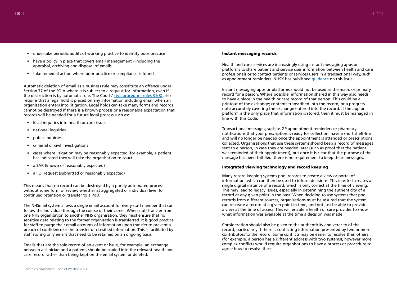110 111

- undertake periodic audits of working practice to identify poor practice
- have a policy in place that covers email management including the appraisal, archiving and disposal of emails
- take remedial action where poor practice or compliance is found

Automatic deletion of email as a business rule may constitute an offence under Section 77 of the FOIA where it is subject to a request for information, even if the destruction is by automatic rule. The Courts' civil procedure rules 31(B) also require that a legal hold is placed on any information including email when an organisation enters into litigation. Legal holds can take many forms and records cannot be destroyed if there is a known process or a reasonable expectation that records will be needed for a future legal process such as:

- local inquiries into health or care issues
- national inquiries
- public inquiries
- criminal or civil investigations
- cases where litigation may be reasonably expected, for example, a patient has indicated they will take the organisation to court
- a SAR (known or reasonably expected)
- a FOI request (submitted or reasonably expected)

Health and care services are increasingly using instant messaging apps or platforms to share patient and service user information between health and care professionals or to contact patients or services users in a transactional way, such as appointment reminders. NHSX has published guidance on this issue.

This means that no record can be destroyed by a purely automated process without some form of review whether at aggregated or individual level for continued retention or transfer to a PoD.

The NHSmail system allows a single email account for every staff member that can follow the individual through the course of their career. When staff transfer from one NHS organisation to another NHS organisation, they must ensure that no sensitive data relating to the former organisation is transferred. It is good practice for staff to purge their email accounts of information upon transfer to prevent a breach of confidence or the transfer of classified information. This is facilitated by staff storing only emails that need to be retained on an ongoing basis.

Emails that are the sole record of an event or issue, for example, an exchange between a clinician and a patient, should be copied into the relevant health and care record rather than being kept on the email system or deleted.

# Instant messaging records

Instant messaging apps or platforms should not be used as the main, or primary, record for a person. Where possible, information shared in this way also needs to have a place in the health or care record of that person. This could be a printout of the exchange; contents transcribed into the record; or a progress note accurately covering the exchange entered into the record. If the app or platform is the only place that information is stored, then it must be managed in line with this Code.

Transactional messages, such as GP appointment reminders or pharmacy notifications that your prescription is ready for collection, have a short shelf-life and will no longer be needed once the appointment is attended or prescriptions collected. Organisations that use these systems should keep a record of messages sent to a person, in case they are needed later (such as proof that the patient was reminded of their appointment), but once it is clear that the purpose of the message has been fulfilled, there is no requirement to keep these messages.

# Integrated viewing technology and record keeping

Many record keeping systems pool records to create a view or portal of information, which can then be used to inform decisions. This in effect creates a single digital instance of a record, which is only correct at the time of viewing. This may lead to legacy issues, especially in determining the authenticity of a record at any given point in the past. When deciding to use systems that pool records from different sources, organisations must be assured that the system can recreate a record at a given point in time, and not just be able to provide a view at the time of access. This will enable a health or care provider to show what information was available at the time a decision was made.

Consideration should also be given to the authenticity and veracity of the record, particularly if there is conflicting information presented by two or more contributors to the record. Some conflicts may be easier to resolve than others (for example, a person has a different address with two systems), however more complex conflicts would require organisations to have a process or procedure to agree how to resolve these.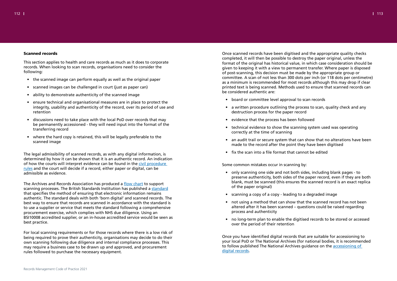

## Scanned records

This section applies to health and care records as much as it does to corporate records. When looking to scan records, organisations need to consider the following:

- the scanned image can perform equally as well as the original paper
- scanned images can be challenged in court (just as paper can)
- ability to demonstrate authenticity of the scanned image
- ensure technical and organisational measures are in place to protect the integrity, usability and authenticity of the record, over its period of use and retention
- discussions need to take place with the local PoD over records that may be permanently accessioned - they will need input into the format of the transferring record
- where the hard copy is retained, this will be legally preferable to the scanned image

The Archives and Records Association has produced a flow chart to support scanning processes. The British Standards Institution has published a standard that specifies the method of ensuring that electronic information remains authentic. The standard deals with both 'born digital' and scanned records. The best way to ensure that records are scanned in accordance with the standard is to use a supplier or service that meets the standard following a comprehensive procurement exercise, which complies with NHS due diligence. Using an BSI10008 accredited supplier, or an in-house accredited service would be seen as best practice.

The legal admissibility of scanned records, as with any digital information, is determined by how it can be shown that it is an authentic record. An indication of how the courts will interpret evidence can be found in the civil procedure rules and the court will decide if a record, either paper or digital, can be admissible as evidence.

For local scanning requirements or for those records where there is a low risk of being required to prove their authenticity, organisations may decide to do their own scanning following due diligence and internal compliance processes. This may require a business case to be drawn up and approved, and procurement rules followed to purchase the necessary equipment.

Once scanned records have been digitised and the appropriate quality checks completed, it will then be possible to destroy the paper original, unless the format of the original has historical value, in which case consideration should be given to keeping it with a view to permanent transfer. Where paper is disposed of post-scanning, this decision must be made by the appropriate group or committee. A scan of not less than 300 dots per inch (or 118 dots per centimetre) as a minimum is recommended for most records although this may drop if clear printed text is being scanned. Methods used to ensure that scanned records can be considered authentic are:

- board or committee level approval to scan records
- a written procedure outlining the process to scan, quality check and any destruction process for the paper record
- evidence that the process has been followed
- technical evidence to show the scanning system used was operating correctly at the time of scanning
- an audit trail or secure system that can show that no alterations have been made to the record after the point they have been digitised
- fix the scan into a file format that cannot be edited

Some common mistakes occur in scanning by:

- only scanning one side and not both sides, including blank pages to preserve authenticity, both sides of the paper record, even if they are both blank, must be scanned (this ensures the scanned record is an exact replica of the paper original)
- scanning a copy of a copy leading to a degraded image
- not using a method that can show that the scanned record has not been altered after it has been scanned – questions could be raised regarding process and authenticity
- no long-term plan to enable the digitised records to be stored or accessed over the period of their retention

Once you have identified digital records that are suitable for accessioning to your local PoD or The National Archives (for national bodies, it is recommended to follow published The National Archives guidance on the accessioning of digital records.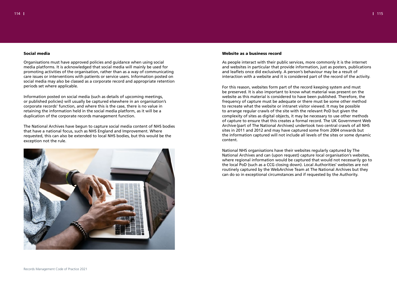# Social media

Organisations must have approved policies and guidance when using social media platforms. It is acknowledged that social media will mainly be used for promoting activities of the organisation, rather than as a way of communicating care issues or interventions with patients or service users. Information posted on social media may also be classed as a corporate record and appropriate retention periods set where applicable.

Information posted on social media (such as details of upcoming meetings, or published policies) will usually be captured elsewhere in an organisation's corporate records' function, and where this is the case, there is no value in retaining the information held in the social media platform, as it will be a duplication of the corporate records management function.

The National Archives have begun to capture social media content of NHS bodies that have a national focus, such as NHS England and Improvement. Where requested, this can also be extended to local NHS bodies, but this would be the exception not the rule.



# Website as a business record

As people interact with their public services, more commonly it is the internet and websites in particular that provide information, just as posters, publications and leaflets once did exclusively. A person's behaviour may be a result of interaction with a website and it is considered part of the record of the activity.

For this reason, websites form part of the record keeping system and must be preserved. It is also important to know what material was present on the website as this material is considered to have been published. Therefore, the frequency of capture must be adequate or there must be some other method to recreate what the website or intranet visitor viewed. It may be possible to arrange regular crawls of the site with the relevant PoD but given the complexity of sites as digital objects, it may be necessary to use other methods of capture to ensure that this creates a formal record. The UK Government Web Archive (part of The National Archives) undertook two central crawls of all NHS sites in 2011 and 2012 and may have captured some from 2004 onwards but the information captured will not include all levels of the sites or some dynamic content.

National NHS organisations have their websites regularly captured by The National Archives and can (upon request) capture local organisation's websites, where regional information would be captured that would not necessarily go to the local PoD (such as a CCG closing down). Local Authorities' websites are not routinely captured by the WebArchive Team at The National Archives but they can do so in exceptional circumstances and if requested by the Authority.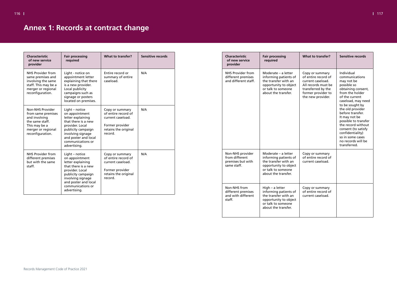| <b>Characteristic</b><br>of new service<br>provider                                                                                          | <b>Fair processing</b><br>required                                                                                                                                                                      | What to transfer?                                                                                                 | Sensitive records |
|----------------------------------------------------------------------------------------------------------------------------------------------|---------------------------------------------------------------------------------------------------------------------------------------------------------------------------------------------------------|-------------------------------------------------------------------------------------------------------------------|-------------------|
| NHS Provider from<br>same premises and<br>involving the same<br>staff. This may be a<br>merger or regional<br>reconfiguration.               | Light - notice on<br>appointment letter<br>explaining that there<br>is a new provider.<br>Local publicity<br>campaigns such as<br>signage or posters<br>located on premises.                            | Entire record or<br>summary of entire<br>caseload.                                                                | N/A               |
| <b>Non-NHS Provider</b><br>from same premises<br>and involving<br>the same staff.<br>This may be a<br>merger or regional<br>reconfiguration. | Light – notice<br>on appointment<br>letter explaining<br>that there is a new<br>provider. Local<br>publicity campaign<br>involving signage<br>and poster and local<br>communications or<br>advertising. | Copy or summary<br>of entire record of<br>current caseload.<br>Former provider<br>retains the original<br>record. | N/A               |
| <b>NHS Provider from</b><br>different premises<br>but with the same<br>staff.                                                                | Light - notice<br>on appointment<br>letter explaining<br>that there is a new<br>provider. Local<br>publicity campaign<br>involving signage<br>and poster and local<br>communications or<br>advertising. | Copy or summary<br>of entire record of<br>current caseload.<br>Former provider<br>retains the original<br>record. | N/A               |

| <b>Characteristic</b><br>of new service<br>provider                    | <b>Fair processing</b><br>required                                                                                                         | <b>What to transfer?</b>                                                                                                                            | Sensitive records                                                                                                                                                                                                                                                                                                                                                         |
|------------------------------------------------------------------------|--------------------------------------------------------------------------------------------------------------------------------------------|-----------------------------------------------------------------------------------------------------------------------------------------------------|---------------------------------------------------------------------------------------------------------------------------------------------------------------------------------------------------------------------------------------------------------------------------------------------------------------------------------------------------------------------------|
| <b>NHS Provider from</b><br>different premises<br>and different staff. | Moderate – a letter<br>informing patients of<br>the transfer with an<br>opportunity to object<br>or talk to someone<br>about the transfer. | Copy or summary<br>of entire record of<br>current caseload.<br>All records must be<br>transferred by the<br>former provider to<br>the new provider. | Individual<br>communications<br>may not be<br>possible so<br>obtaining consent,<br>from the holder<br>of the current<br>caseload, may need<br>to be sought by<br>the old provider<br>before transfer.<br>It may not be<br>possible to transfer<br>the record without<br>consent (to satisfy<br>confidentiality)<br>so in some cases<br>no records will be<br>transferred. |
| Non-NHS provider<br>from different<br>premises but with<br>same staff. | Moderate - a letter<br>informing patients of<br>the transfer with an<br>opportunity to object<br>or talk to someone<br>about the transfer. | Copy or summary<br>of entire record of<br>current caseload.                                                                                         |                                                                                                                                                                                                                                                                                                                                                                           |
| Non-NHS from<br>different premises<br>and with different<br>staff.     | High - a letter<br>informing patients of<br>the transfer with an<br>opportunity to object<br>or talk to someone<br>about the transfer.     | Copy or summary<br>of entire record of<br>current caseload.                                                                                         |                                                                                                                                                                                                                                                                                                                                                                           |

# <span id="page-58-0"></span>**Annex 1: Records at contract change**